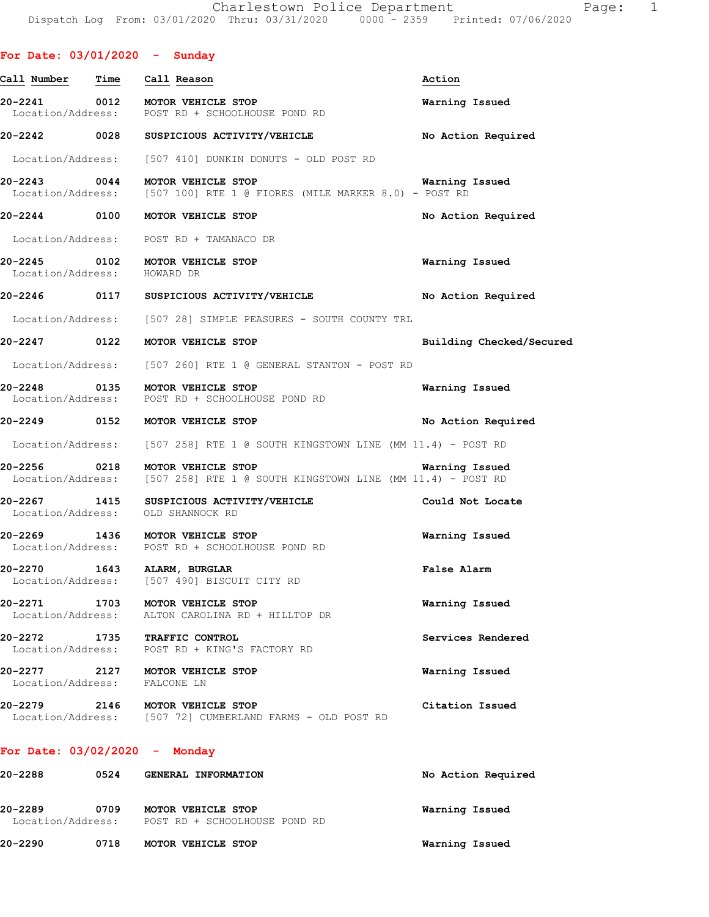| For Date: $03/01/2020 -$ Sunday   |                                                                                                                 |                          |
|-----------------------------------|-----------------------------------------------------------------------------------------------------------------|--------------------------|
| <u>Call Number</u><br>Time        | Call Reason                                                                                                     | Action                   |
|                                   | 20-2241 0012 MOTOR VEHICLE STOP<br>Location/Address: POST RD + SCHOOLHOUSE POND RD                              | Warning Issued           |
|                                   | 20-2242 0028 SUSPICIOUS ACTIVITY/VEHICLE                                                                        | No Action Required       |
|                                   | Location/Address: [507 410] DUNKIN DONUTS - OLD POST RD                                                         |                          |
|                                   | 20-2243 0044 MOTOR VEHICLE STOP<br>Location/Address: [507 100] RTE 1 @ FIORES (MILE MARKER 8.0) - POST RD       | <b>Warning Issued</b>    |
|                                   | 20-2244 0100 MOTOR VEHICLE STOP                                                                                 | No Action Required       |
|                                   | Location/Address: POST RD + TAMANACO DR                                                                         |                          |
|                                   | 20-2245 0102 MOTOR VEHICLE STOP<br>Location/Address: HOWARD DR                                                  | Warning Issued           |
|                                   | 20-2246   0117   SUSPICIOUS ACTIVITY/VEHICLE                                                                    | No Action Required       |
|                                   | Location/Address: [507 28] SIMPLE PEASURES - SOUTH COUNTY TRL                                                   |                          |
|                                   | 20-2247 0122 MOTOR VEHICLE STOP                                                                                 | Building Checked/Secured |
|                                   | Location/Address: [507 260] RTE 1 @ GENERAL STANTON - POST RD                                                   |                          |
| 20-2248                           | 1-2248 0135 MOTOR VEHICLE STOP<br>Location/Address: POST RD + SCHOOLHOUSE POND RD                               | Warning Issued           |
|                                   | 20-2249 0152 MOTOR VEHICLE STOP                                                                                 | No Action Required       |
|                                   | Location/Address: [507 258] RTE 1 @ SOUTH KINGSTOWN LINE (MM 11.4) - POST RD                                    |                          |
|                                   | 20-2256 0218 MOTOR VEHICLE STOP<br>Location/Address: [507 258] RTE 1 @ SOUTH KINGSTOWN LINE (MM 11.4) - POST RD | Warning Issued           |
| Location/Address: OLD SHANNOCK RD | 20-2267 1415 SUSPICIOUS ACTIVITY/VEHICLE Could Not Locate                                                       |                          |
|                                   | 20-2269 1436 MOTOR VEHICLE STOP<br>Location/Address: POST RD + SCHOOLHOUSE POND RD                              | Warning Issued           |
| 20-2270                           | 1643 ALARM, BURGLAR<br>Location/Address: [507 490] BISCUIT CITY RD                                              | False Alarm              |
| 20-2271                           | 1703 MOTOR VEHICLE STOP<br>Location/Address: ALTON CAROLINA RD + HILLTOP DR                                     | Warning Issued           |
| 20-2272                           | 1735 TRAFFIC CONTROL<br>Location/Address: POST RD + KING'S FACTORY RD                                           | Services Rendered        |
| Location/Address: FALCONE LN      | 20-2277 2127 MOTOR VEHICLE STOP                                                                                 | Warning Issued           |
|                                   | 20-2279 2146 MOTOR VEHICLE STOP<br>Location/Address: [507 72] CUMBERLAND FARMS - OLD POST RD                    | Citation Issued          |
| For Date: $03/02/2020 -$ Monday   |                                                                                                                 |                          |

| 20-2290                      | 0718 | MOTOR VEHICLE STOP                                  | Warning Issued     |
|------------------------------|------|-----------------------------------------------------|--------------------|
| 20-2289<br>Location/Address: | 0709 | MOTOR VEHICLE STOP<br>POST RD + SCHOOLHOUSE POND RD | Warning Issued     |
| 20-2288                      | 0524 | GENERAL INFORMATION                                 | No Action Required |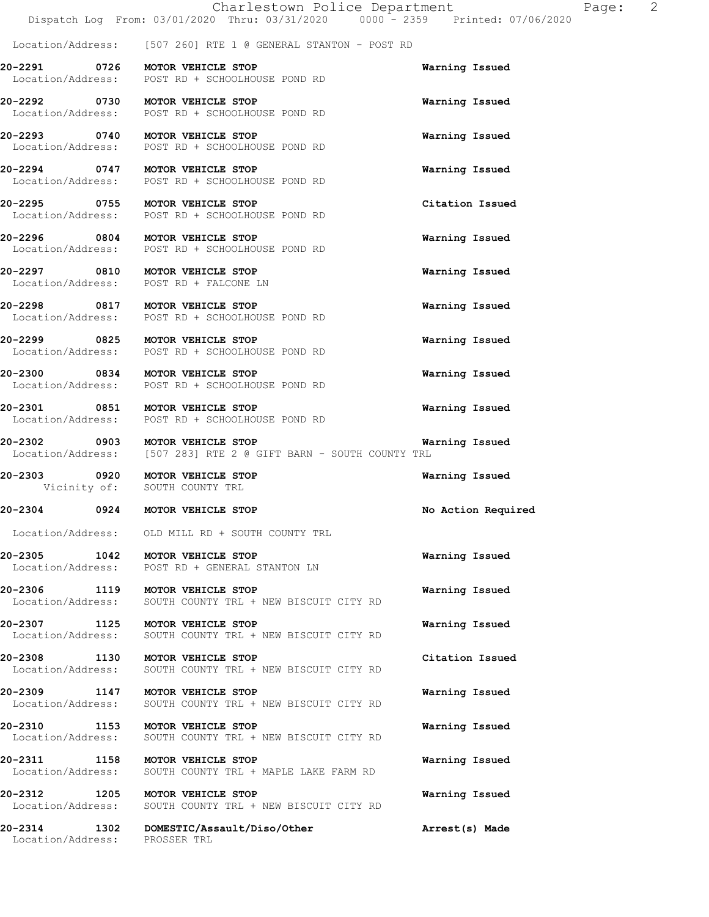Location/Address: [507 260] RTE 1 @ GENERAL STANTON - POST RD

POST RD + SCHOOLHOUSE POND RD

POST RD + SCHOOLHOUSE POND RD

**20-2291 0726 MOTOR VEHICLE STOP Warning Issued**  Location/Address: POST RD + SCHOOLHOUSE POND RD

**20-2292 0730 MOTOR VEHICLE STOP Warning Issued**  POST RD + SCHOOLHOUSE POND RD

**20-2293 0740 MOTOR VEHICLE STOP Warning Issued** 

**20-2294 0747 MOTOR VEHICLE STOP Warning Issued** 

Location/Address: POST RD + SCHOOLHOUSE POND RD

**20-2295 0755 MOTOR VEHICLE STOP Citation Issued**  Location/Address: POST RD + SCHOOLHOUSE POND RD

**20-2296 0804 MOTOR VEHICLE STOP Warning Issued**  Location/Address: POST RD + SCHOOLHOUSE POND RD

**20-2297 0810 MOTOR VEHICLE STOP Warning Issued**  Location/Address: POST RD + FALCONE LN

**20-2298 0817 MOTOR VEHICLE STOP WARE Warning Issued** Location/Address: POST RD + SCHOOLHOUSE POND RD

**20-2299 0825 MOTOR VEHICLE STOP Warning Issued**  Location/Address: POST RD + SCHOOLHOUSE POND RD

**20-2300 0834 MOTOR VEHICLE STOP Warning Issued** 

Location/Address: POST RD + SCHOOLHOUSE POND RD

**20-2301 0851 MOTOR VEHICLE STOP Warning Issued**  Location/Address: POST RD + SCHOOLHOUSE POND RD

**20-2302 0903 MOTOR VEHICLE STOP Warning Issued**<br>Location/Address: [507 283] RTE 2 @ GIFT BARN - SOUTH COUNTY TRL

**20-2303 0920 MOTOR VEHICLE STOP Warning Issued** 

**20-2304 0924 MOTOR VEHICLE STOP No Action Required** 

Location/Address: OLD MILL RD + SOUTH COUNTY TRL

SOUTH COUNTY TRL

**20-2305 1042 MOTOR VEHICLE STOP Warning Issued**  Location/Address: POST RD + GENERAL STANTON LN

**20-2306 1119 MOTOR VEHICLE STOP Warning Issued**  Location/Address: SOUTH COUNTY TRL + NEW BISCUIT CITY RD

**20-2307 1125 MOTOR VEHICLE STOP Warning Issued**  SOUTH COUNTY TRL + NEW BISCUIT CITY RD

**20-2308 1130 MOTOR VEHICLE STOP Citation Issued**  Location/Address: SOUTH COUNTY TRL + NEW BISCUIT CITY RD

**20-2309 1147 MOTOR VEHICLE STOP Warning Issued**  Location/Address: SOUTH COUNTY TRL + NEW BISCUIT CITY RD

**20-2310 1153 MOTOR VEHICLE STOP Warning Issued**  Location/Address: SOUTH COUNTY TRL + NEW BISCUIT CITY RD

[507 283] RTE 2 @ GIFT BARN - SOUTH COUNTY TRL

**20-2311 1158 MOTOR VEHICLE STOP Warning Issued**  Location/Address: SOUTH COUNTY TRL + MAPLE LAKE FARM RD

**20-2312 1205 MOTOR VEHICLE STOP Warning Issued**  Location/Address: SOUTH COUNTY TRL + NEW BISCUIT CITY RD

**20-2314 1302 DOMESTIC/Assault/Diso/Other Arrest(s) Made**  Location/Address: PROSSER TRL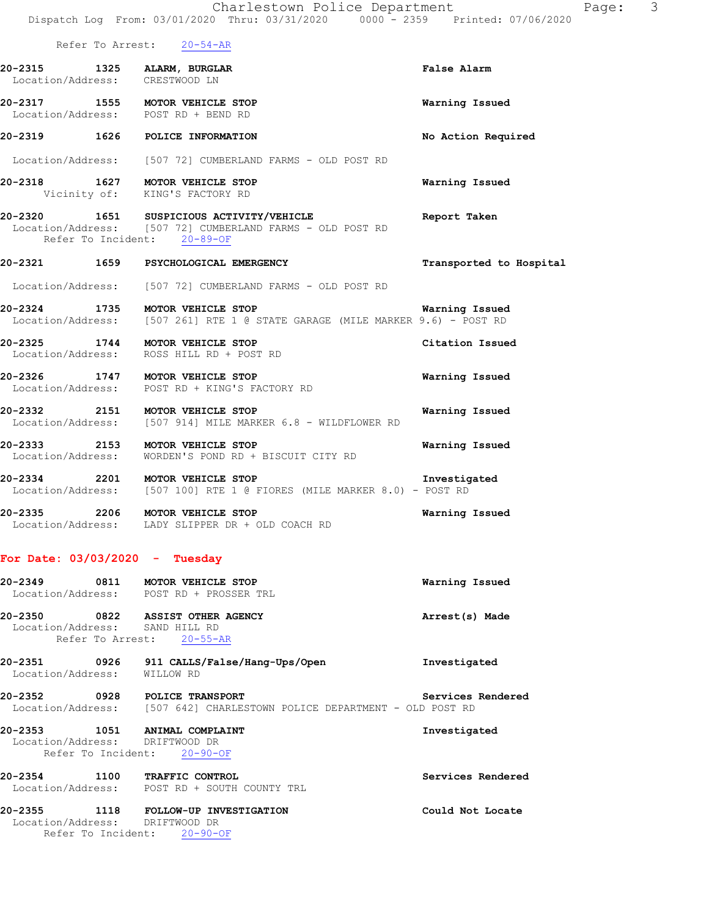Refer To Arrest: 20-54-AR

| 20-2315<br>Location/Address: | 1325 | ALARM, BURGLAR<br>CRESTWOOD LN          | <b>False Alarm</b> |
|------------------------------|------|-----------------------------------------|--------------------|
| 20-2317<br>Location/Address: | 1555 | MOTOR VEHICLE STOP<br>POST RD + BEND RD | Warning Issued     |
| 20-2319                      | 1626 | POLICE INFORMATION                      | No Action Required |

Location/Address: [507 72] CUMBERLAND FARMS - OLD POST RD

- **20-2318 1627 MOTOR VEHICLE STOP Warning Issued**  Vicinity of: KING'S FACTORY RD
- **20-2320 1651 SUSPICIOUS ACTIVITY/VEHICLE Report Taken**  Location/Address: [507 72] CUMBERLAND FARMS - OLD POST RD Refer To Incident: 20-89-OF

## **20-2321 1659 PSYCHOLOGICAL EMERGENCY Transported to Hospital**

Location/Address: [507 72] CUMBERLAND FARMS - OLD POST RD

- **20-2324 1735 MOTOR VEHICLE STOP Warning Issued**  Location/Address: [507 261] RTE 1 @ STATE GARAGE (MILE MARKER 9.6) - POST RD
- **20-2325 1744 MOTOR VEHICLE STOP Citation Issued**  Location/Address: ROSS HILL RD + POST RD
- **20-2326 1747 MOTOR VEHICLE STOP Warning Issued**  Location/Address: POST RD + KING'S FACTORY RD
- **20-2332 2151 MOTOR VEHICLE STOP Warning Issued**  Location/Address: [507 914] MILE MARKER 6.8 - WILDFLOWER RD
- **20-2333 2153 MOTOR VEHICLE STOP Warning Issued**  Location/Address: WORDEN'S POND RD + BISCUIT CITY RD
- **20-2334 2201 MOTOR VEHICLE STOP Investigated**  Location/Address: [507 100] RTE 1 @ FIORES (MILE MARKER 8.0) - POST RD
- **20-2335 2206 MOTOR VEHICLE STOP Warning Issued**  Location/Address: LADY SLIPPER DR + OLD COACH RD

#### **For Date: 03/03/2020 - Tuesday**

| 20-2349 0811 MOTOR VEHICLE STOP                                      | Location/Address: POST RD + PROSSER TRL                                                            | Warning Issued    |
|----------------------------------------------------------------------|----------------------------------------------------------------------------------------------------|-------------------|
| 20-2350 0822<br>Location/Address: SAND HILL RD                       | <b>ASSIST OTHER AGENCY</b><br>Refer To Arrest: 20-55-AR                                            | Arrest(s) Made    |
| 0926<br>20-2351<br>Location/Address:                                 | 911 CALLS/False/Hang-Ups/Open<br>WILLOW RD                                                         | Investigated      |
| 20-2352<br>0928                                                      | <b>POLICE TRANSPORT</b><br>Location/Address: [507 642] CHARLESTOWN POLICE DEPARTMENT - OLD POST RD | Services Rendered |
| 20-2353 1051<br>Location/Address: DRIFTWOOD DR<br>Refer To Incident: | ANIMAL COMPLAINT<br>$20 - 90 - OF$                                                                 | Investigated      |
| 20-2354 1100                                                         | <b>TRAFFIC CONTROL</b><br>Location/Address: POST RD + SOUTH COUNTY TRL                             | Services Rendered |
| 20-2355 1118<br>Location/Address:                                    | FOLLOW-UP INVESTIGATION<br>DRIFTWOOD DR                                                            | Could Not Locate  |

Refer To Incident: 20-90-OF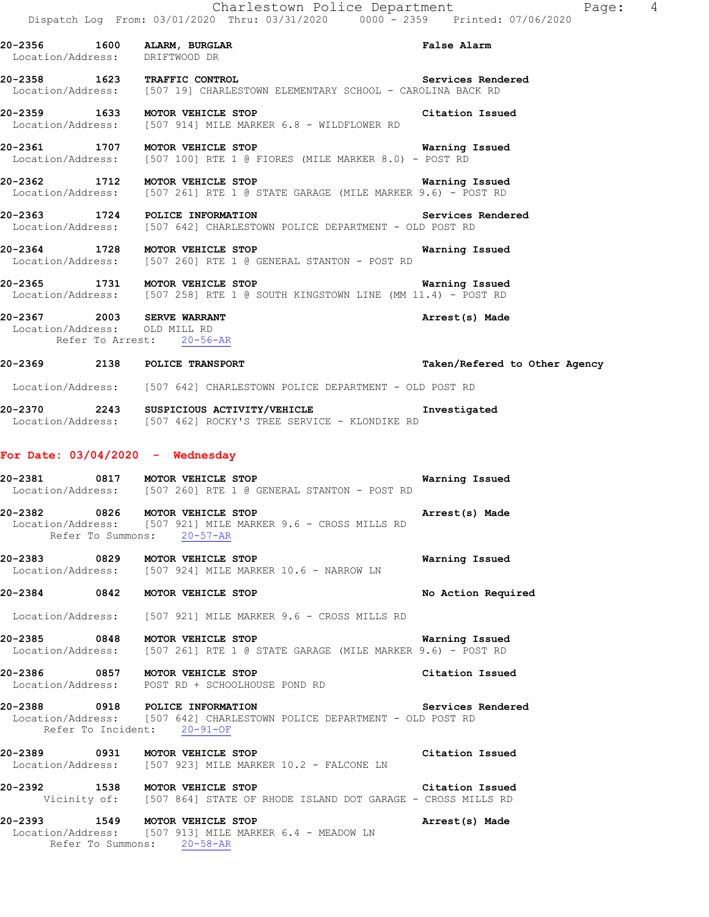**20-2356 1600 ALARM, BURGLAR False Alarm**  Location/Address: DRIFTWOOD DR **20-2358 1623 TRAFFIC CONTROL Services Rendered**  Location/Address: [507 19] CHARLESTOWN ELEMENTARY SCHOOL - CAROLINA BACK RD **20-2359 1633 MOTOR VEHICLE STOP Citation Issued**  Location/Address: [507 914] MILE MARKER 6.8 - WILDFLOWER RD **20-2361 1707 MOTOR VEHICLE STOP Warning Issued**  Location/Address: [507 100] RTE 1 @ FIORES (MILE MARKER 8.0) - POST RD **20-2362 1712 MOTOR VEHICLE STOP WATALE WARKER 9.6)** - **Warning Issued** Location/Address: [507 261] RTE 1 @ STATE GARAGE (MILE MARKER 9.6) - POST RD [507 261] RTE 1 @ STATE GARAGE (MILE MARKER 9.6) - POST RD **20-2363 1724 POLICE INFORMATION Services Rendered**  Location/Address: [507 642] CHARLESTOWN POLICE DEPARTMENT - OLD POST RD **20-2364 1728 MOTOR VEHICLE STOP Warning Issued**  Location/Address: [507 260] RTE 1 @ GENERAL STANTON - POST RD **20-2365 1731 MOTOR VEHICLE STOP Warning Issued**  Location/Address: [507 258] RTE 1 @ SOUTH KINGSTOWN LINE (MM 11.4) - POST RD **20-2367 2003 SERVE WARRANT Arrest(s) Made**  Location/Address: OLD MILL RD Refer To Arrest: 20-56-AR **20-2369 2138 POLICE TRANSPORT Taken/Refered to Other Agency** Location/Address: [507 642] CHARLESTOWN POLICE DEPARTMENT - OLD POST RD **20-2370 2243 SUSPICIOUS ACTIVITY/VEHICLE Investigated**  Location/Address: [507 462] ROCKY'S TREE SERVICE - KLONDIKE RD

#### **For Date: 03/04/2020 - Wednesday**

| 20-2381           | 0817 | MOTOR VEHICLE STOP |  |  |  |                                             | Warning Issued |  |
|-------------------|------|--------------------|--|--|--|---------------------------------------------|----------------|--|
| Location/Address: |      |                    |  |  |  | [507 260] RTE 1 @ GENERAL STANTON - POST RD |                |  |

**20-2382 0826 MOTOR VEHICLE STOP Arrest(s) Made**  Location/Address: [507 921] MILE MARKER 9.6 - CROSS MILLS RD Refer To Summons: 20-57-AR

**20-2383 0829 MOTOR VEHICLE STOP Warning Issued**  Location/Address: [507 924] MILE MARKER 10.6 - NARROW LN

**20-2384 0842 MOTOR VEHICLE STOP No Action Required** 

Location/Address: [507 921] MILE MARKER 9.6 - CROSS MILLS RD

**20-2385 0848 MOTOR VEHICLE STOP Warning Issued**  Location/Address: [507 261] RTE 1 @ STATE GARAGE (MILE MARKER 9.6) - POST RD

**20-2386 0857 MOTOR VEHICLE STOP Citation Issued**  Location/Address: POST RD + SCHOOLHOUSE POND RD

**20-2388 0918 POLICE INFORMATION Services Rendered**  Location/Address: [507 642] CHARLESTOWN POLICE DEPARTMENT - OLD POST RD Refer To Incident: 20-91-OF

**20-2389 0931 MOTOR VEHICLE STOP Citation Issued**  Location/Address: [507 923] MILE MARKER 10.2 - FALCONE LN

**20-2392 1538 MOTOR VEHICLE STOP Citation Issued**  Vicinity of: [507 864] STATE OF RHODE ISLAND DOT GARAGE - CROSS MILLS RD

**20-2393 1549 MOTOR VEHICLE STOP Arrest(s) Made**  Location/Address: [507 913] MILE MARKER 6.4 - MEADOW LN Refer To Summons: 20-58-AR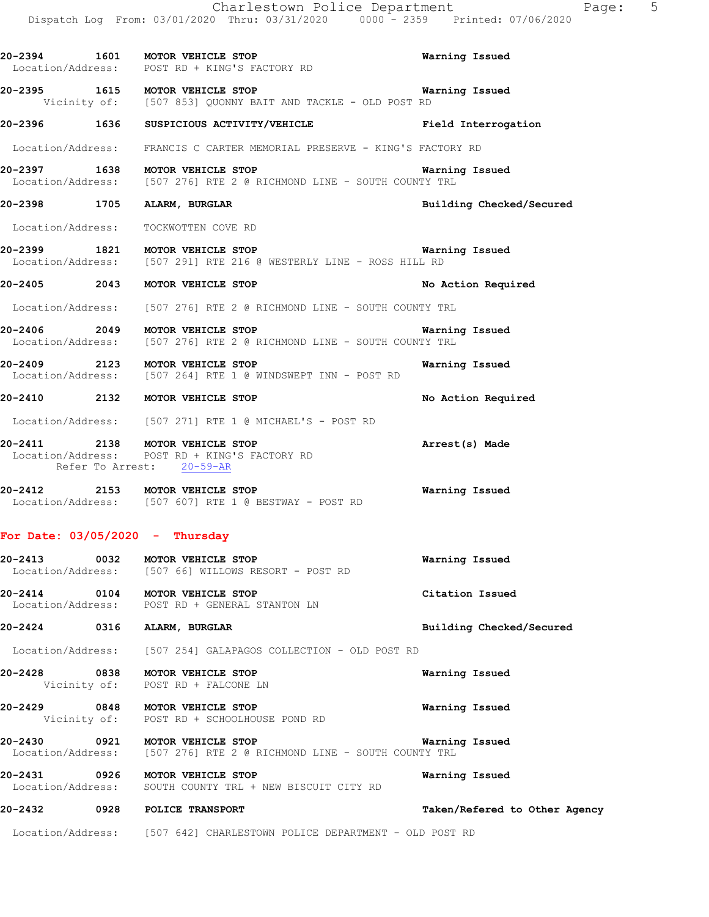|                                   | Charlestown Police Department                                                                                          |                          |
|-----------------------------------|------------------------------------------------------------------------------------------------------------------------|--------------------------|
|                                   | Dispatch Log From: 03/01/2020 Thru: 03/31/2020 0000 - 2359 Printed: 07/06/2020                                         |                          |
|                                   | 20-2394 1601 MOTOR VEHICLE STOP<br>Location/Address: POST RD + KING'S FACTORY RD                                       | Warning Issued           |
|                                   | <b>20-2395 1615 MOTOR VEHICLE STOP WAREN</b><br>Vicinity of: [507 853] QUONNY BAIT AND TACKLE - OLD POST RD            | Warning Issued           |
|                                   | 20-2396 1636 SUSPICIOUS ACTIVITY/VEHICLE THE Prield Interrogation                                                      |                          |
|                                   | Location/Address: FRANCIS C CARTER MEMORIAL PRESERVE - KING'S FACTORY RD                                               |                          |
|                                   | 1638 MOTOR VEHICLE STOP MOTOR VERICLE STOP MATHIM LOCATION/Address: [507 276] RTE 2 @ RICHMOND LINE - SOUTH COUNTY TRL | Warning Issued           |
| 20-2398 1705 ALARM, BURGLAR       |                                                                                                                        | Building Checked/Secured |
|                                   | Location/Address: TOCKWOTTEN COVE RD                                                                                   |                          |
|                                   | 1821 MOTOR VEHICLE STOP MOTOR VERICLE STOP Narn.<br>Location/Address: [507 291] RTE 216 @ WESTERLY LINE - ROSS HILL RD | <b>Warning Issued</b>    |
|                                   | 20-2405 2043 MOTOR VEHICLE STOP                                                                                        | No Action Required       |
|                                   | Location/Address: [507 276] RTE 2 @ RICHMOND LINE - SOUTH COUNTY TRL                                                   |                          |
|                                   | 20-2406 2049 MOTOR VEHICLE STOP<br>Location/Address: [507 276] RTE 2 @ RICHMOND LINE - SOUTH COUNTY TRL                | Warning Issued           |
|                                   | 20-2409 2123 MOTOR VEHICLE STOP<br>Location/Address: [507 264] RTE 1 @ WINDSWEPT INN - POST RD                         | Warning Issued           |
|                                   | 20-2410 2132 MOTOR VEHICLE STOP                                                                                        | No Action Required       |
|                                   | Location/Address: [507 271] RTE 1 @ MICHAEL'S - POST RD                                                                |                          |
|                                   | 20-2411 2138 MOTOR VEHICLE STOP<br>Location/Address: POST RD + KING'S FACTORY RD<br>Refer To Arrest: 20-59-AR          | Arrest(s) Made           |
|                                   | 20-2412 2153 MOTOR VEHICLE STOP<br>Location/Address: [507 607] RTE 1 @ BESTWAY - POST RD                               | Warning Issued           |
| For Date: $03/05/2020 -$ Thursday |                                                                                                                        |                          |
|                                   | 20-2413 0032 MOTOR VEHICLE STOP<br>Location/Address: [507 66] WILLOWS RESORT - POST RD                                 | Warning Issued           |

**20-2414 0104 MOTOR VEHICLE STOP Citation Issued**  Location/Address: POST RD + GENERAL STANTON LN

**20-2424 0316 ALARM, BURGLAR Building Checked/Secured** 

Location/Address: [507 254] GALAPAGOS COLLECTION - OLD POST RD

**20-2428 0838 MOTOR VEHICLE STOP Warning Issued**  Vicinity of: POST RD + FALCONE LN

**20-2429 0848 MOTOR VEHICLE STOP Warning Issued**  Vicinity of: POST RD + SCHOOLHOUSE POND RD

**20-2430 0921 MOTOR VEHICLE STOP Warning Issued**  Location/Address: [507 276] RTE 2 @ RICHMOND LINE - SOUTH COUNTY TRL

**20-2431 0926 MOTOR VEHICLE STOP Warning Issued**  Location/Address: SOUTH COUNTY TRL + NEW BISCUIT CITY RD

#### **20-2432 0928 POLICE TRANSPORT Taken/Refered to Other Agency**

Location/Address: [507 642] CHARLESTOWN POLICE DEPARTMENT - OLD POST RD

Page: 5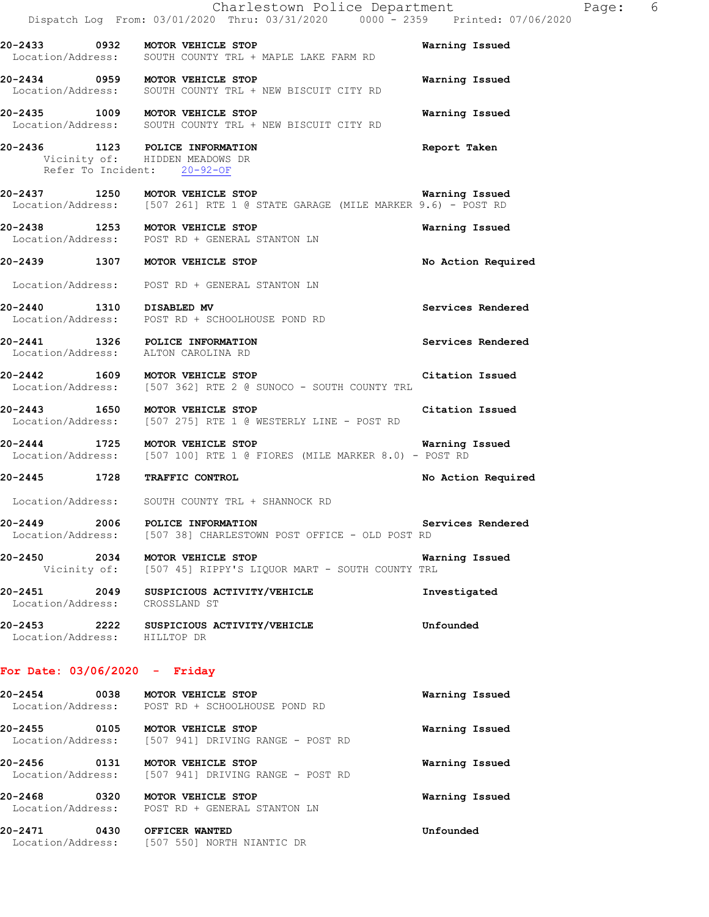|                                 | Charlestown Police Department<br>Dispatch Log From: 03/01/2020 Thru: 03/31/2020 0000 <sup>-</sup> -2359 Printed: 07/06/2020 | Page:              | 6 |
|---------------------------------|-----------------------------------------------------------------------------------------------------------------------------|--------------------|---|
|                                 | 20-2433 0932 MOTOR VEHICLE STOP<br>Location/Address: SOUTH COUNTY TRL + MAPLE LAKE FARM RD                                  | Warning Issued     |   |
|                                 | 20-2434 0959 MOTOR VEHICLE STOP<br>Location/Address: SOUTH COUNTY TRL + NEW BISCUIT CITY RD                                 | Warning Issued     |   |
|                                 | 20-2435 1009 MOTOR VEHICLE STOP<br>Location/Address: SOUTH COUNTY TRL + NEW BISCUIT CITY RD                                 | Warning Issued     |   |
|                                 | 20-2436 1123 POLICE INFORMATION<br>Vicinity of: HIDDEN MEADOWS DR<br>Refer To Incident: 20-92-OF                            | Report Taken       |   |
|                                 | 20-2437 1250 MOTOR VEHICLE STOP<br>Location/Address: [507 261] RTE 1 @ STATE GARAGE (MILE MARKER 9.6) - POST RD             | Warning Issued     |   |
|                                 | 20-2438 1253 MOTOR VEHICLE STOP<br>Location/Address: POST RD + GENERAL STANTON LN                                           | Warning Issued     |   |
|                                 | 20-2439 1307 MOTOR VEHICLE STOP                                                                                             | No Action Required |   |
|                                 | Location/Address: POST RD + GENERAL STANTON LN                                                                              |                    |   |
|                                 | 20-2440 1310 DISABLED MV<br>Location/Address: POST RD + SCHOOLHOUSE POND RD                                                 | Services Rendered  |   |
|                                 | 20-2441 1326 POLICE INFORMATION<br>Location/Address: ALTON CAROLINA RD                                                      | Services Rendered  |   |
|                                 | 20-2442 1609 MOTOR VEHICLE STOP<br>Location/Address: [507 362] RTE 2 @ SUNOCO - SOUTH COUNTY TRL                            | Citation Issued    |   |
|                                 | 20-2443 1650 MOTOR VEHICLE STOP<br>Location/Address: [507 275] RTE 1 @ WESTERLY LINE - POST RD                              | Citation Issued    |   |
|                                 | 20-2444 1725 MOTOR VEHICLE STOP<br>Location/Address: [507 100] RTE 1 @ FIORES (MILE MARKER 8.0) - POST RD                   | Warning Issued     |   |
| 20-2445 1728 TRAFFIC CONTROL    |                                                                                                                             | No Action Required |   |
|                                 | Location/Address: SOUTH COUNTY TRL + SHANNOCK RD                                                                            |                    |   |
|                                 | 20-2449 2006 POLICE INFORMATION<br>Location/Address: [507 38] CHARLESTOWN POST OFFICE - OLD POST RD                         | Services Rendered  |   |
|                                 | 20-2450 2034 MOTOR VEHICLE STOP<br>Vicinity of: [507 45] RIPPY'S LIQUOR MART - SOUTH COUNTY TRL                             | Warning Issued     |   |
|                                 | 20-2451 2049 SUSPICIOUS ACTIVITY/VEHICLE<br>Location/Address: CROSSLAND ST                                                  | Investigated       |   |
| Location/Address: HILLTOP DR    | 20-2453 2222 SUSPICIOUS ACTIVITY/VEHICLE                                                                                    | Unfounded          |   |
| For Date: $03/06/2020 -$ Friday |                                                                                                                             |                    |   |
|                                 | 20-2454 0038 MOTOR VEHICLE STOP<br>Location/Address: POST RD + SCHOOLHOUSE POND RD                                          | Warning Issued     |   |
|                                 | 20-2455 0105 MOTOR VEHICLE STOP<br>Location/Address: [507 941] DRIVING RANGE - POST RD                                      | Warning Issued     |   |
|                                 | 20-2456 0131 MOTOR VEHICLE STOP<br>Location/Address: [507 941] DRIVING RANGE - POST RD                                      | Warning Issued     |   |
|                                 | 20-2468 0320 MOTOR VEHICLE STOP<br>Location/Address: POST RD + GENERAL STANTON LN                                           | Warning Issued     |   |
| 20-2471 0430 OFFICER WANTED     | Location/Address: [507 550] NORTH NIANTIC DR                                                                                | Unfounded          |   |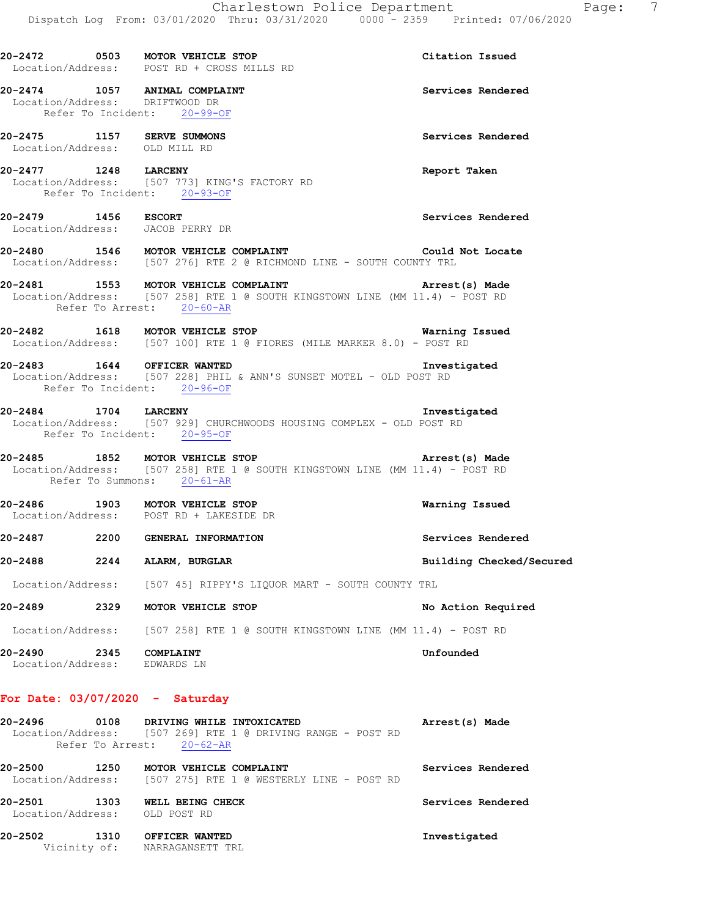|                                                             |      | 20-2472 0503 MOTOR VEHICLE STOP<br>Location/Address: POST RD + CROSS MILLS RD                                                                                                   | Citation Issued          |
|-------------------------------------------------------------|------|---------------------------------------------------------------------------------------------------------------------------------------------------------------------------------|--------------------------|
|                                                             |      | 20-2474 1057 ANIMAL COMPLAINT<br>Location/Address: DRIFTWOOD DR<br>Refer To Incident: 20-99-OF                                                                                  | Services Rendered        |
| 20-2475 1157 SERVE SUMMONS<br>Location/Address: OLD MILL RD |      |                                                                                                                                                                                 | Services Rendered        |
| 20-2477 1248 LARCENY                                        |      | Location/Address: [507 773] KING'S FACTORY RD<br>Refer To Incident: 20-93-OF                                                                                                    | Report Taken             |
| 20-2479 1456 ESCORT                                         |      | Location/Address: JACOB PERRY DR                                                                                                                                                | Services Rendered        |
|                                                             |      | 20-2480 1546 MOTOR VEHICLE COMPLAINT<br>Location/Address: [507 276] RTE 2 @ RICHMOND LINE - SOUTH COUNTY TRL                                                                    | Could Not Locate         |
|                                                             |      | 20-2481 1553 MOTOR VEHICLE COMPLAINT 1999 (20-2481 Arrest (s) Made<br>Location/Address: [507 258] RTE 1 @ SOUTH KINGSTOWN LINE (MM 11.4) - POST RD<br>Refer To Arrest: 20-60-AR |                          |
|                                                             |      | 20-2482 1618 MOTOR VEHICLE STOP<br>Location/Address: [507 100] RTE 1 @ FIORES (MILE MARKER 8.0) - POST RD                                                                       | <b>Warning Issued</b>    |
|                                                             |      | 20-2483 1644 OFFICER WANTED<br>Location/Address: [507 228] PHIL & ANN'S SUNSET MOTEL - OLD POST RD<br>Refer To Incident: 20-96-OF                                               | Investigated             |
| 20-2484 1704 LARCENY                                        |      | Location/Address: [507 929] CHURCHWOODS HOUSING COMPLEX - OLD POST RD<br>Refer To Incident: 20-95-OF                                                                            | Investigated             |
|                                                             |      | 20-2485 1852 MOTOR VEHICLE STOP<br>Location/Address: [507 258] RTE 1 @ SOUTH KINGSTOWN LINE (MM 11.4) - POST RD<br>Refer To Summons: 20-61-AR                                   | Arrest(s) Made           |
|                                                             |      | 20-2486 1903 MOTOR VEHICLE STOP<br>Location/Address: POST RD + LAKESIDE DR                                                                                                      | Warning Issued           |
|                                                             |      | 20-2487 2200 GENERAL INFORMATION                                                                                                                                                | Services Rendered        |
| 20-2488                                                     |      | 2244 ALARM, BURGLAR                                                                                                                                                             | Building Checked/Secured |
|                                                             |      | Location/Address: [507 45] RIPPY'S LIQUOR MART - SOUTH COUNTY TRL                                                                                                               |                          |
| 20-2489                                                     | 2329 | MOTOR VEHICLE STOP                                                                                                                                                              | No Action Required       |
|                                                             |      | Location/Address: [507 258] RTE 1 @ SOUTH KINGSTOWN LINE (MM 11.4) - POST RD                                                                                                    |                          |
| 20-2490<br>Location/Address:                                | 2345 | COMPLAINT<br>EDWARDS LN                                                                                                                                                         | Unfounded                |

### **For Date: 03/07/2020 - Saturday**

| 20-2496                      | 0108<br>Refer To Arrest: | DRIVING WHILE INTOXICATED<br>Location/Address: [507 269] RTE 1 @ DRIVING RANGE - POST RD<br>$20 - 62 - AR$ | Arrest(s) Made    |
|------------------------------|--------------------------|------------------------------------------------------------------------------------------------------------|-------------------|
| 20-2500<br>Location/Address: | 1250                     | MOTOR VEHICLE COMPLAINT<br>[507 275] RTE 1 @ WESTERLY LINE - POST RD                                       | Services Rendered |
| 20-2501<br>Location/Address: | 1303                     | WELL BEING CHECK<br>OLD POST RD                                                                            | Services Rendered |
| 20-2502                      | 1310<br>Vicinity of:     | OFFICER WANTED<br>NARRAGANSETT TRL                                                                         | Investigated      |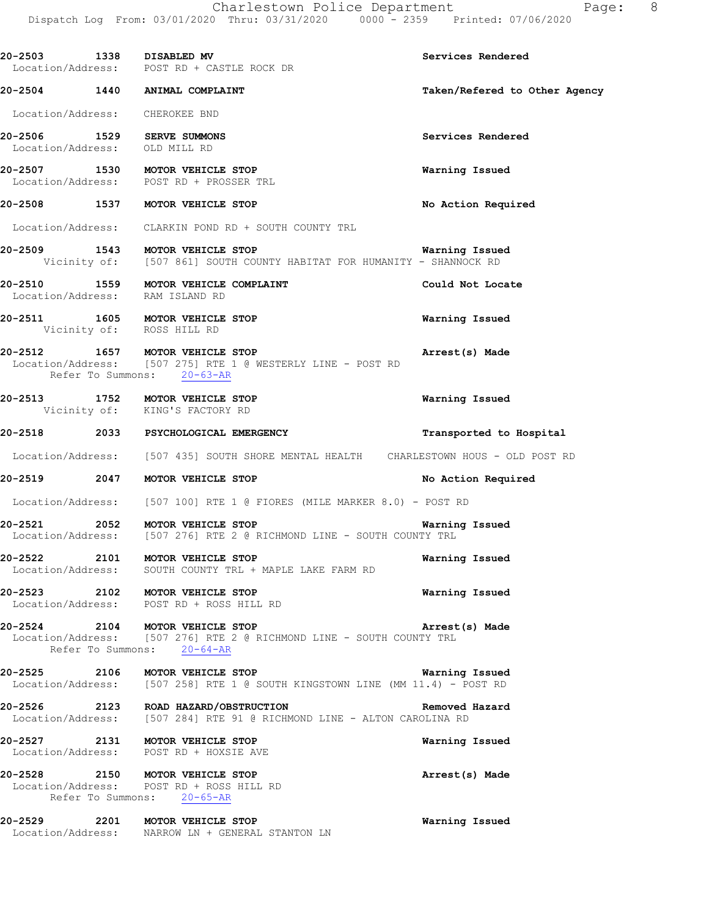| 20-2503 1338 DISABLED MV       | Location/Address: POST RD + CASTLE ROCK DR                                                                                                                 | Services Rendered             |
|--------------------------------|------------------------------------------------------------------------------------------------------------------------------------------------------------|-------------------------------|
|                                | 20-2504 1440 ANIMAL COMPLAINT                                                                                                                              | Taken/Refered to Other Agency |
| Location/Address: CHEROKEE BND |                                                                                                                                                            |                               |
| Location/Address: OLD MILL RD  | 20-2506 1529 SERVE SUMMONS                                                                                                                                 | Services Rendered             |
|                                | 20-2507 1530 MOTOR VEHICLE STOP<br>Location/Address: POST RD + PROSSER TRL                                                                                 | Warning Issued                |
|                                | 20-2508 1537 MOTOR VEHICLE STOP                                                                                                                            | No Action Required            |
|                                | Location/Address: CLARKIN POND RD + SOUTH COUNTY TRL                                                                                                       |                               |
|                                | 20-2509 1543 MOTOR VEHICLE STOP<br>Vicinity of: [507 861] SOUTH COUNTY HABITAT FOR HUMANITY - SHANNOCK RD                                                  | <b>Warning Issued</b>         |
|                                | 20-2510 1559 MOTOR VEHICLE COMPLAINT<br>Location/Address: RAM ISLAND RD                                                                                    | Could Not Locate              |
| Vicinity of: ROSS HILL RD      | 20-2511 1605 MOTOR VEHICLE STOP                                                                                                                            | Warning Issued                |
|                                | 20-2512 1657 MOTOR VEHICLE STOP NOTOR TERMINAL Arrest(s) Made<br>Location/Address: [507 275] RTE 1 @ WESTERLY LINE - POST RD<br>Refer To Summons: 20-63-AR |                               |
|                                | 20-2513 1752 MOTOR VEHICLE STOP<br>Vicinity of: KING'S FACTORY RD                                                                                          | Warning Issued                |
|                                | 20-2518 2033 PSYCHOLOGICAL EMERGENCY                                                                                                                       | Transported to Hospital       |
|                                | Location/Address: [507 435] SOUTH SHORE MENTAL HEALTH CHARLESTOWN HOUS - OLD POST RD                                                                       |                               |
|                                | 20-2519 2047 MOTOR VEHICLE STOP                                                                                                                            | No Action Required            |
|                                | Location/Address: [507 100] RTE 1 @ FIORES (MILE MARKER 8.0) - POST RD                                                                                     |                               |
|                                | 20-2521 2052 MOTOR VEHICLE STOP<br>Location/Address: [507 276] RTE 2 @ RICHMOND LINE - SOUTH COUNTY TRL                                                    | Warning Issued                |
|                                | 20-2522 2101 MOTOR VEHICLE STOP<br>Location/Address: SOUTH COUNTY TRL + MAPLE LAKE FARM RD                                                                 | Warning Issued                |
|                                | 20-2523 2102 MOTOR VEHICLE STOP<br>Location/Address: POST RD + ROSS HILL RD                                                                                | Warning Issued                |
|                                | 20-2524 2104 MOTOR VEHICLE STOP<br>Location/Address: [507 276] RTE 2 @ RICHMOND LINE - SOUTH COUNTY TRL<br>Refer To Summons: 20-64-AR                      | Arrest(s) Made                |
|                                | 20-2525 2106 MOTOR VEHICLE STOP<br>Location/Address: [507 258] RTE 1 @ SOUTH KINGSTOWN LINE (MM 11.4) - POST RD                                            | Warning Issued                |
|                                | 20-2526 2123 ROAD HAZARD/OBSTRUCTION<br>Location/Address: [507 284] RTE 91 @ RICHMOND LINE - ALTON CAROLINA RD                                             | Removed Hazard                |
|                                | 20-2527 2131 MOTOR VEHICLE STOP<br>Location/Address: POST RD + HOXSIE AVE                                                                                  | Warning Issued                |
|                                | 20-2528 2150 MOTOR VEHICLE STOP<br>Location/Address: POST RD + ROSS HILL RD<br>Refer To Summons: 20-65-AR                                                  | Arrest(s) Made                |
|                                | 20-2529 2201 MOTOR VEHICLE STOP<br>Location/Address: NARROW LN + GENERAL STANTON LN                                                                        | Warning Issued                |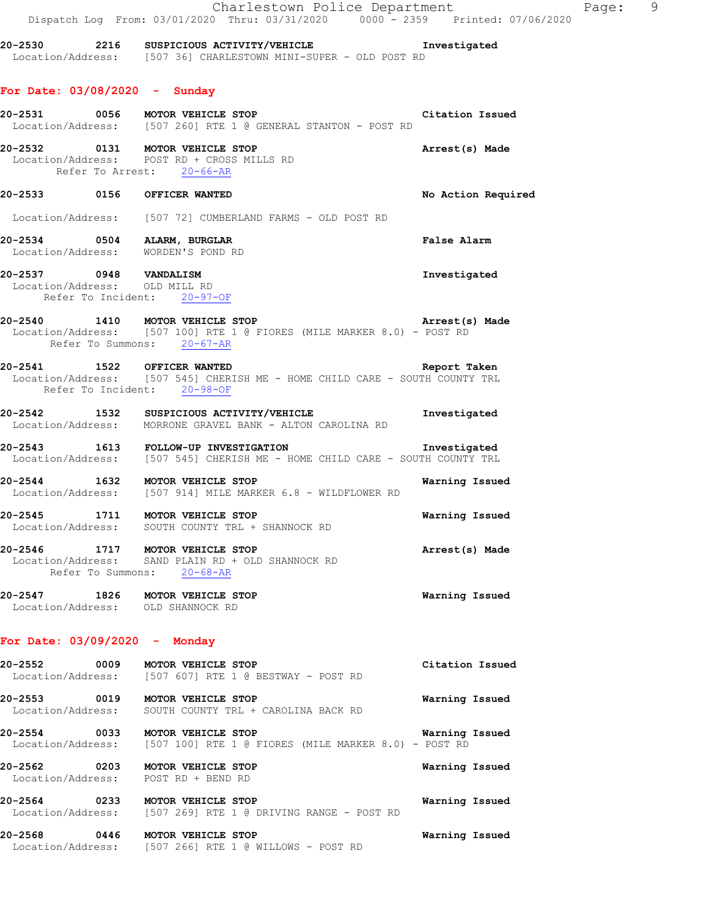|                                                                               |                              | Charlestown Police Department<br>Dispatch Log From: 03/01/2020 Thru: 03/31/2020 0000 - 2359 Printed: 07/06/2020                      |                    | Page: 9 |
|-------------------------------------------------------------------------------|------------------------------|--------------------------------------------------------------------------------------------------------------------------------------|--------------------|---------|
|                                                                               |                              | 20-2530 2216 SUSPICIOUS ACTIVITY/VEHICLE Threstigated<br>Location/Address: [507 36] CHARLESTOWN MINI-SUPER - OLD POST RD             |                    |         |
| For Date: $03/08/2020 -$ Sunday                                               |                              |                                                                                                                                      |                    |         |
|                                                                               |                              | 20-2531 0056 MOTOR VEHICLE STOP<br>Location/Address: [507 260] RTE 1 @ GENERAL STANTON - POST RD                                     | Citation Issued    |         |
| 20-2532 0131 MOTOR VEHICLE STOP<br>Location/Address: POST RD + CROSS MILLS RD | Refer To Arrest: 20-66-AR    |                                                                                                                                      | Arrest(s) Made     |         |
| 20-2533 0156 OFFICER WANTED                                                   |                              |                                                                                                                                      | No Action Required |         |
|                                                                               |                              | Location/Address: [507 72] CUMBERLAND FARMS - OLD POST RD                                                                            |                    |         |
| 20-2534 0504 ALARM, BURGLAR<br>Location/Address: WORDEN'S POND RD             |                              |                                                                                                                                      | False Alarm        |         |
| 20-2537 0948 VANDALISM<br>Location/Address: OLD MILL RD                       | Refer To Incident: 20-97-OF  |                                                                                                                                      | Investigated       |         |
|                                                                               | Refer To Summons: $20-67-AR$ | 20-2540 1410 MOTOR VEHICLE STOP 120 Mortos Arrest (s) Made<br>Location/Address: [507 100] RTE 1 @ FIORES (MILE MARKER 8.0) - POST RD |                    |         |
| 20-2541 1522 OFFICER WANTED                                                   | Refer To Incident: 20-98-OF  | Location/Address: [507 545] CHERISH ME - HOME CHILD CARE - SOUTH COUNTY TRL                                                          | Report Taken       |         |
|                                                                               |                              | 20-2542 1532 SUSPICIOUS ACTIVITY/VEHICLE<br>Location/Address: MORRONE GRAVEL BANK - ALTON CAROLINA RD                                | Investigated       |         |
|                                                                               |                              | 20-2543   1613   FOLLOW-UP INVESTIGATION   Investigated Location/Address: [507 545] CHERISH ME - HOME CHILD CARE - SOUTH COUNTY TRL  |                    |         |
|                                                                               |                              | 20-2544 1632 MOTOR VEHICLE STOP<br>Location/Address: [507 914] MILE MARKER 6.8 - WILDFLOWER RD                                       | Warning Issued     |         |
| 20-2545                                                                       | 1711 MOTOR VEHICLE STOP      | Location/Address: SOUTH COUNTY TRL + SHANNOCK RD                                                                                     | Warning Issued     |         |
| 20-2546 1717 MOTOR VEHICLE STOP                                               | Refer To Summons: $20-68-AR$ | Location/Address: SAND PLAIN RD + OLD SHANNOCK RD                                                                                    | Arrest(s) Made     |         |
| 20-2547 1826 MOTOR VEHICLE STOP<br>Location/Address: OLD SHANNOCK RD          |                              |                                                                                                                                      | Warning Issued     |         |
| For Date: $03/09/2020 -$ Monday                                               |                              |                                                                                                                                      |                    |         |
| 20-2552 0009 MOTOR VEHICLE STOP                                               |                              | Location/Address: [507 607] RTE 1 @ BESTWAY - POST RD                                                                                | Citation Issued    |         |
| 20-2553 0019 MOTOR VEHICLE STOP                                               |                              | Location/Address: SOUTH COUNTY TRL + CAROLINA BACK RD                                                                                | Warning Issued     |         |
|                                                                               |                              | 20-2554 0033 MOTOR VEHICLE STOP<br>Location/Address: [507 100] RTE 1 @ FIORES (MILE MARKER 8.0) - POST RD                            | Warning Issued     |         |
| 20-2562 0203 MOTOR VEHICLE STOP<br>Location/Address: POST RD + BEND RD        |                              |                                                                                                                                      | Warning Issued     |         |
| 20-2564 0233 MOTOR VEHICLE STOP                                               |                              | Location/Address: [507 269] RTE 1 @ DRIVING RANGE - POST RD                                                                          | Warning Issued     |         |
| 20-2568 0446 MOTOR VEHICLE STOP                                               |                              | Location/Address: [507 266] RTE 1 @ WILLOWS - POST RD                                                                                | Warning Issued     |         |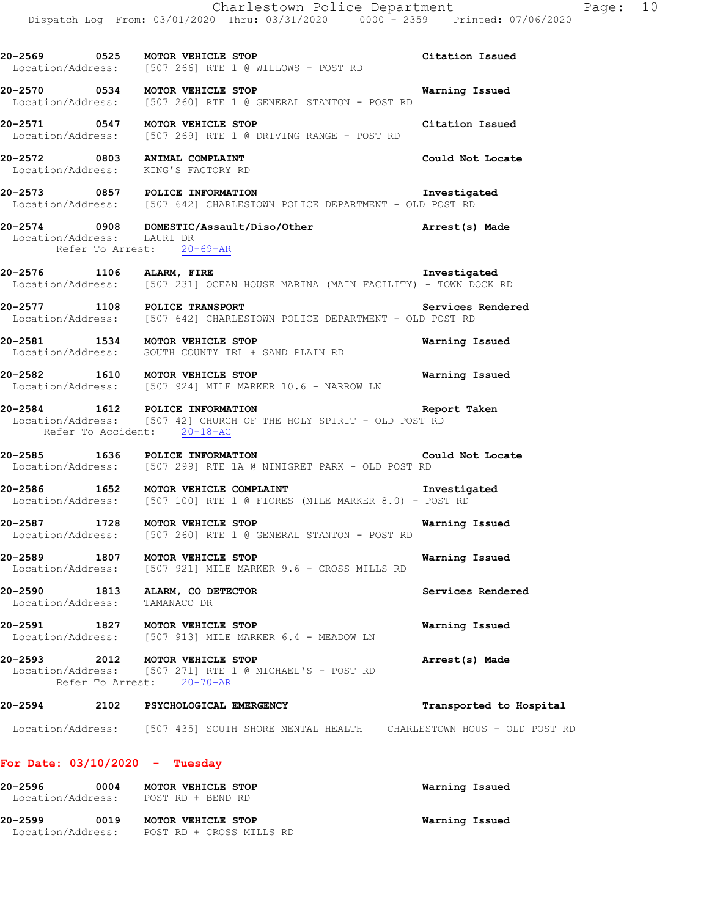Charlestown Police Department The Page: 10 Dispatch Log From: 03/01/2020 Thru: 03/31/2020 0000 - 2359 Printed: 07/06/2020 **20-2569 0525 MOTOR VEHICLE STOP Citation Issued**  Location/Address: [507 266] RTE 1 @ WILLOWS - POST RD **20-2570 0534 MOTOR VEHICLE STOP Warning Issued**  [507 260] RTE 1 @ GENERAL STANTON - POST RD **20-2571 0547 MOTOR VEHICLE STOP Citation Issued**  Location/Address: [507 269] RTE 1 @ DRIVING RANGE - POST RD **20-2572 0803 ANIMAL COMPLAINT Could Not Locate**  Location/Address: KING'S FACTORY RD **20-2573 0857 POLICE INFORMATION Investigated**  Location/Address: [507 642] CHARLESTOWN POLICE DEPARTMENT - OLD POST RD **20-2574 0908 DOMESTIC/Assault/Diso/Other Arrest(s) Made**  Location/Address: LAURI DR Refer To Arrest: 20-69-AR **20-2576 1106 ALARM, FIRE Investigated**  [507 231] OCEAN HOUSE MARINA (MAIN FACILITY) - TOWN DOCK RD **20-2577 1108 POLICE TRANSPORT Services Rendered Services Rendered Index Services Rendered Services**: [507 642] CHARLESTOWN POLICE DEPARTMENT - OLD POST RD [507 642] CHARLESTOWN POLICE DEPARTMENT - OLD POST RD **20-2581 1534 MOTOR VEHICLE STOP Warning Issued**  Location/Address: SOUTH COUNTY TRL + SAND PLAIN RD **20-2582 1610 MOTOR VEHICLE STOP Warning Issued**  Location/Address: [507 924] MILE MARKER 10.6 - NARROW LN **20-2584 1612 POLICE INFORMATION Report Taken**  Location/Address: [507 42] CHURCH OF THE HOLY SPIRIT - OLD POST RD Refer To Accident: 20-18-AC **20-2585 1636 POLICE INFORMATION Could Not Locate**  Location/Address: [507 299] RTE 1A @ NINIGRET PARK - OLD POST RD **20-2586 1652 MOTOR VEHICLE COMPLAINT Investigated**  Location/Address: [507 100] RTE 1 @ FIORES (MILE MARKER 8.0) - POST RD **20-2587 1728 MOTOR VEHICLE STOP Warning Issued**  Location/Address: [507 260] RTE 1 @ GENERAL STANTON - POST RD **20-2589 1807 MOTOR VEHICLE STOP Warning Issued**  Location/Address: [507 921] MILE MARKER 9.6 - CROSS MILLS RD **20-2590 1813 ALARM, CO DETECTOR 1813 Services Rendered Services Rendered** Location/Address: **20-2591 1827 MOTOR VEHICLE STOP Warning Issued**  Location/Address: [507 913] MILE MARKER 6.4 - MEADOW LN **20-2593 2012 MOTOR VEHICLE STOP Arrest(s) Made**  Location/Address: [507 271] RTE 1 @ MICHAEL'S - POST RD Refer To Arrest: 20-70-AR **20-2594 2102 PSYCHOLOGICAL EMERGENCY Transported to Hospital**  Location/Address: [507 435] SOUTH SHORE MENTAL HEALTH CHARLESTOWN HOUS - OLD POST RD

#### **For Date: 03/10/2020 - Tuesday**

| 20-2596           | 0004 | MOTOR VEHICLE STOP       | Warning Issued |
|-------------------|------|--------------------------|----------------|
| Location/Address: |      | POST RD + BEND RD        |                |
| 20-2599           | 0019 | MOTOR VEHICLE STOP       | Warning Issued |
| Location/Address: |      | POST RD + CROSS MILLS RD |                |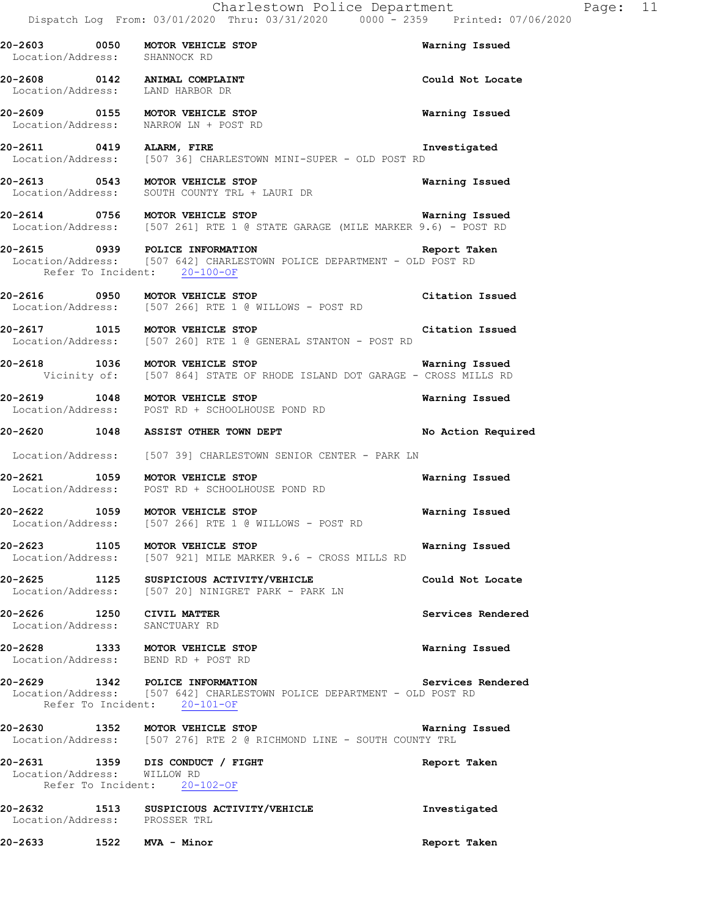| 20-2603 0050<br>Location/Address:                                 | MOTOR VEHICLE STOP<br>SHANNOCK RD                                                                                                                    | Warning Issued     |
|-------------------------------------------------------------------|------------------------------------------------------------------------------------------------------------------------------------------------------|--------------------|
| 20-2608 0142 ANIMAL COMPLAINT<br>Location/Address: LAND HARBOR DR |                                                                                                                                                      | Could Not Locate   |
|                                                                   | 20-2609 0155 MOTOR VEHICLE STOP<br>Location/Address: NARROW LN + POST RD                                                                             | Warning Issued     |
| 20-2611 0419 ALARM, FIRE                                          | Location/Address: [507 36] CHARLESTOWN MINI-SUPER - OLD POST RD                                                                                      | Investigated       |
|                                                                   | 20-2613 0543 MOTOR VEHICLE STOP<br>Location/Address: SOUTH COUNTY TRL + LAURI DR                                                                     | Warning Issued     |
|                                                                   | 20-2614 0756 MOTOR VEHICLE STOP Warning Issued<br>Location/Address: [507 261] RTE 1 @ STATE GARAGE (MILE MARKER 9.6) - POST RD                       | Warning Issued     |
|                                                                   | 20-2615 0939 POLICE INFORMATION Report Ta<br>Location/Address: [507 642] CHARLESTOWN POLICE DEPARTMENT - OLD POST RD<br>Refer To Incident: 20-100-OF | Report Taken       |
|                                                                   | 20-2616 0950 MOTOR VEHICLE STOP<br>Location/Address: [507 266] RTE 1 @ WILLOWS - POST RD                                                             | Citation Issued    |
|                                                                   | 20-2617 1015 MOTOR VEHICLE STOP<br>Location/Address: [507 260] RTE 1 @ GENERAL STANTON - POST RD                                                     | Citation Issued    |
|                                                                   | Warning Issued<br>20-2618 1036 MOTOR VEHICLE STOP<br>Vicinity of: [507 864] STATE OF RHODE ISLAND DOT GARAGE - CROSS MILLS RD                        |                    |
|                                                                   | 20-2619 1048 MOTOR VEHICLE STOP<br>Location/Address: POST RD + SCHOOLHOUSE POND RD                                                                   | Warning Issued     |
|                                                                   | 20-2620 1048 ASSIST OTHER TOWN DEPT                                                                                                                  | No Action Required |
|                                                                   | Location/Address: [507 39] CHARLESTOWN SENIOR CENTER - PARK LN                                                                                       |                    |
|                                                                   | 20-2621 1059 MOTOR VEHICLE STOP<br>Location/Address: POST RD + SCHOOLHOUSE POND RD                                                                   | Warning Issued     |
|                                                                   | 20-2622 1059 MOTOR VEHICLE STOP<br>Location/Address: [507 266] RTE 1 @ WILLOWS - POST RD                                                             | Warning Issued     |
|                                                                   | 20-2623 1105 MOTOR VEHICLE STOP<br>Location/Address: [507 921] MILE MARKER 9.6 - CROSS MILLS RD                                                      | Warning Issued     |
|                                                                   | 20-2625 1125 SUSPICIOUS ACTIVITY/VEHICLE<br>Location/Address: [507 20] NINIGRET PARK - PARK LN                                                       | Could Not Locate   |
| 20-2626 1250 CIVIL MATTER<br>Location/Address: SANCTUARY RD       |                                                                                                                                                      | Services Rendered  |
| Location/Address: BEND RD + POST RD                               | 20-2628 1333 MOTOR VEHICLE STOP                                                                                                                      | Warning Issued     |
|                                                                   | 20-2629 1342 POLICE INFORMATION<br>Location/Address: [507 642] CHARLESTOWN POLICE DEPARTMENT - OLD POST RD<br>Refer To Incident: 20-101-OF           | Services Rendered  |
|                                                                   | 20-2630 1352 MOTOR VEHICLE STOP<br>Location/Address: [507 276] RTE 2 @ RICHMOND LINE - SOUTH COUNTY TRL                                              | Warning Issued     |
| Location/Address: WILLOW RD                                       | 20-2631 1359 DIS CONDUCT / FIGHT<br>Refer To Incident: 20-102-OF                                                                                     | Report Taken       |
| Location/Address: PROSSER TRL                                     | 20-2632 1513 SUSPICIOUS ACTIVITY/VEHICLE                                                                                                             | Investigated       |

**20-2633 1522 MVA - Minor Report Taken**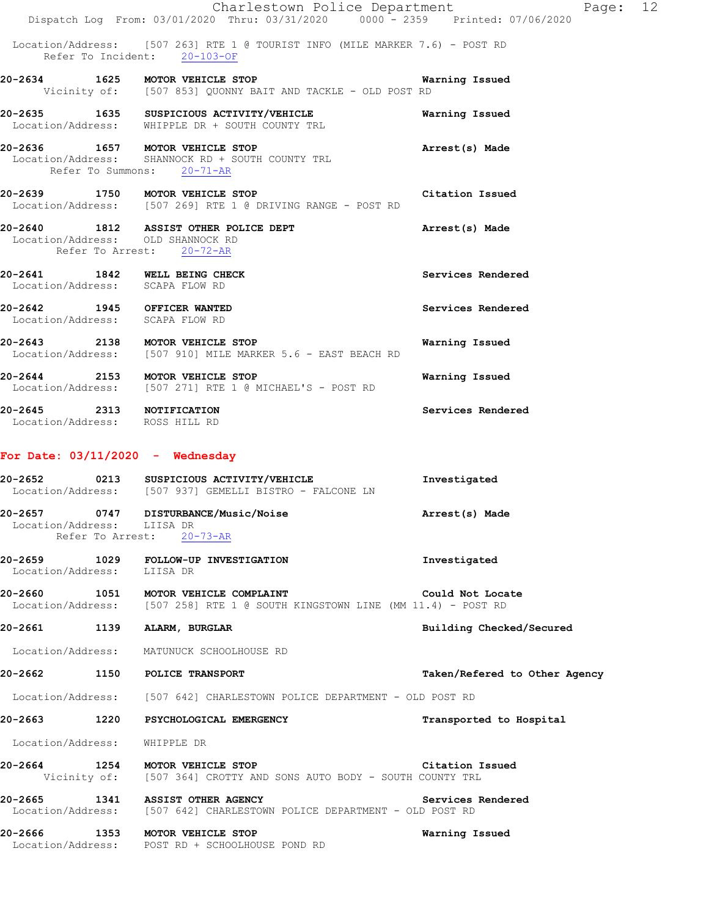|                                                                  | Charlestown Police Department<br>Dispatch Log From: 03/01/2020 Thru: 03/31/2020 0000 - 2359 Printed: 07/06/2020 |                   | Page: 12 |
|------------------------------------------------------------------|-----------------------------------------------------------------------------------------------------------------|-------------------|----------|
|                                                                  | Location/Address: [507 263] RTE 1 @ TOURIST INFO (MILE MARKER 7.6) - POST RD<br>Refer To Incident: 20-103-OF    |                   |          |
|                                                                  | 20-2634 1625 MOTOR VEHICLE STOP<br>Vicinity of: [507 853] QUONNY BAIT AND TACKLE - OLD POST RD                  | Warning Issued    |          |
|                                                                  | 20-2635 1635 SUSPICIOUS ACTIVITY/VEHICLE<br>Location/Address: WHIPPLE DR + SOUTH COUNTY TRL                     | Warning Issued    |          |
| Refer To Summons: 20-71-AR                                       | 20-2636 1657 MOTOR VEHICLE STOP<br>Location/Address: SHANNOCK RD + SOUTH COUNTY TRL                             | Arrest(s) Made    |          |
|                                                                  | 20-2639 1750 MOTOR VEHICLE STOP<br>Location/Address: [507 269] RTE 1 @ DRIVING RANGE - POST RD                  | Citation Issued   |          |
| Location/Address: OLD SHANNOCK RD                                | 20-2640 1812 ASSIST OTHER POLICE DEPT<br>Refer To Arrest: 20-72-AR                                              | Arrest(s) Made    |          |
| 20-2641 1842 WELL BEING CHECK<br>Location/Address: SCAPA FLOW RD |                                                                                                                 | Services Rendered |          |
| 20-2642 1945 OFFICER WANTED<br>Location/Address: SCAPA FLOW RD   |                                                                                                                 | Services Rendered |          |
|                                                                  | 20-2643 2138 MOTOR VEHICLE STOP<br>Location/Address: [507 910] MILE MARKER 5.6 - EAST BEACH RD                  | Warning Issued    |          |
|                                                                  | 20-2644 2153 MOTOR VEHICLE STOP<br>Location/Address: [507 271] RTE 1 @ MICHAEL'S - POST RD                      | Warning Issued    |          |
| 20-2645 2313 NOTIFICATION<br>Location/Address: ROSS HILL RD      |                                                                                                                 | Services Rendered |          |
| For Date: $03/11/2020$ - Wednesday                               |                                                                                                                 |                   |          |
| 20-2652                                                          | 0213 SUSPICIOUS ACTIVITY/VEHICLE                                                                                | Investigated      |          |

| Location/Address: |      | [507 937] GEMELLI BISTRO - FALCONE LN |                |
|-------------------|------|---------------------------------------|----------------|
| 20-2657           | 0747 | <b>DISTURBANCE/Music/Noise</b>        | Arrest(s) Made |
| Location/Address: |      | LIISA DR                              |                |

- Refer To Arrest: 20-73-AR
- **20-2659 1029 FOLLOW-UP INVESTIGATION Investigated**  Location/Address: LIISA DR

**20-2660 1051 MOTOR VEHICLE COMPLAINT Could Not Locate**  Location/Address: [507 258] RTE 1 @ SOUTH KINGSTOWN LINE (MM 11.4) - POST RD

**20-2661 1139 ALARM, BURGLAR Building Checked/Secured** 

Location/Address: MATUNUCK SCHOOLHOUSE RD

**20-2662 1150 POLICE TRANSPORT Taken/Refered to Other Agency**

Location/Address: [507 642] CHARLESTOWN POLICE DEPARTMENT - OLD POST RD

**20-2663 1220 PSYCHOLOGICAL EMERGENCY Transported to Hospital** 

Location/Address: WHIPPLE DR

**20-2664 1254 MOTOR VEHICLE STOP Citation Issued**  Vicinity of: [507 364] CROTTY AND SONS AUTO BODY - SOUTH COUNTY TRL

**20-2665 1341 ASSIST OTHER AGENCY Services Rendered**  Location/Address: [507 642] CHARLESTOWN POLICE DEPARTMENT - OLD POST RD

**20-2666 1353 MOTOR VEHICLE STOP Warning Issued**  Location/Address: POST RD + SCHOOLHOUSE POND RD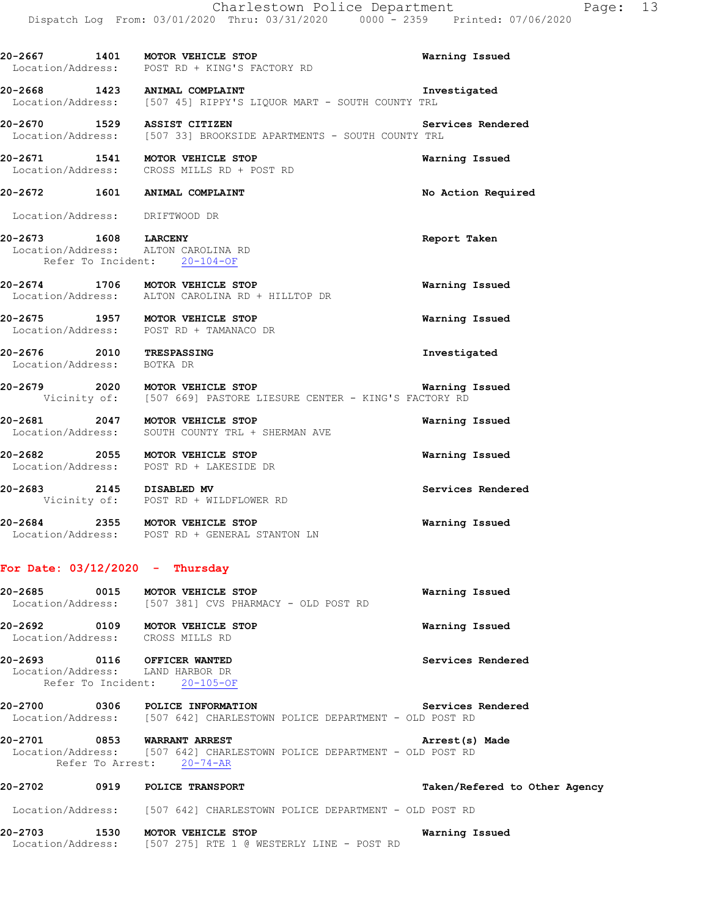|                                                        | 20-2667 1401 MOTOR VEHICLE STOP<br>Location/Address: POST RD + KING'S FACTORY RD                   | Warning Issued     |
|--------------------------------------------------------|----------------------------------------------------------------------------------------------------|--------------------|
|                                                        | 20-2668 1423 ANIMAL COMPLAINT<br>Location/Address: [507 45] RIPPY'S LIQUOR MART - SOUTH COUNTY TRL | Investigated       |
|                                                        | 20-2670 1529 ASSIST CITIZEN<br>Location/Address: [507 33] BROOKSIDE APARTMENTS - SOUTH COUNTY TRL  | Services Rendered  |
|                                                        | 20-2671 1541 MOTOR VEHICLE STOP<br>Location/Address: CROSS MILLS RD + POST RD                      | Warning Issued     |
|                                                        | 20-2672 1601 ANIMAL COMPLAINT                                                                      | No Action Required |
| Location/Address: DRIFTWOOD DR                         |                                                                                                    |                    |
| 20-2673 1608 LARCENY                                   | Location/Address: ALTON CAROLINA RD<br>Refer To Incident: 20-104-OF                                | Report Taken       |
|                                                        | 20-2674 1706 MOTOR VEHICLE STOP<br>Location/Address: ALTON CAROLINA RD + HILLTOP DR                | Warning Issued     |
|                                                        | 20-2675 1957 MOTOR VEHICLE STOP<br>Location/Address: POST RD + TAMANACO DR                         | Warning Issued     |
| 20-2676 2010 TRESPASSING<br>Location/Address: BOTKA DR |                                                                                                    | Investigated       |
|                                                        | Vicinity of: [507 669] PASTORE LIESURE CENTER - KING'S FACTORY RD                                  |                    |
|                                                        | 20-2681 2047 MOTOR VEHICLE STOP<br>Location/Address: SOUTH COUNTY TRL + SHERMAN AVE                | Warning Issued     |
|                                                        | 20-2682 2055 MOTOR VEHICLE STOP<br>Location/Address: POST RD + LAKESIDE DR                         | Warning Issued     |
|                                                        | 20-2683 2145 DISABLED MV<br>Vicinity of: POST RD + WILDFLOWER RD                                   | Services Rendered  |
|                                                        | 20-2684 2355 MOTOR VEHICLE STOP<br>Location/Address: POST RD + GENERAL STANTON LN                  | Warning Issued     |

**20-2685 0015 MOTOR VEHICLE STOP Warning Issued**  Location/Address: [507 381] CVS PHARMACY - OLD POST RD

**20-2692 0109 MOTOR VEHICLE STOP Warning Issued**  Location/Address: CROSS MILLS RD

**20-2693 0116 OFFICER WANTED Services Rendered**  Location/Address: LAND HARBOR DR Refer To Incident: 20-105-OF

**20-2700 0306 POLICE INFORMATION Services Rendered**  Location/Address: [507 642] CHARLESTOWN POLICE DEPARTMENT - OLD POST RD

**20-2701 0853 WARRANT ARREST Arrest(s) Made**  Location/Address: [507 642] CHARLESTOWN POLICE DEPARTMENT - OLD POST RD Refer To Arrest: 20-74-AR

Location/Address: [507 275] RTE 1 @ WESTERLY LINE - POST RD

**20-2702 0919 POLICE TRANSPORT Taken/Refered to Other Agency** Location/Address: [507 642] CHARLESTOWN POLICE DEPARTMENT - OLD POST RD **20-2703 1530 MOTOR VEHICLE STOP Warning Issued**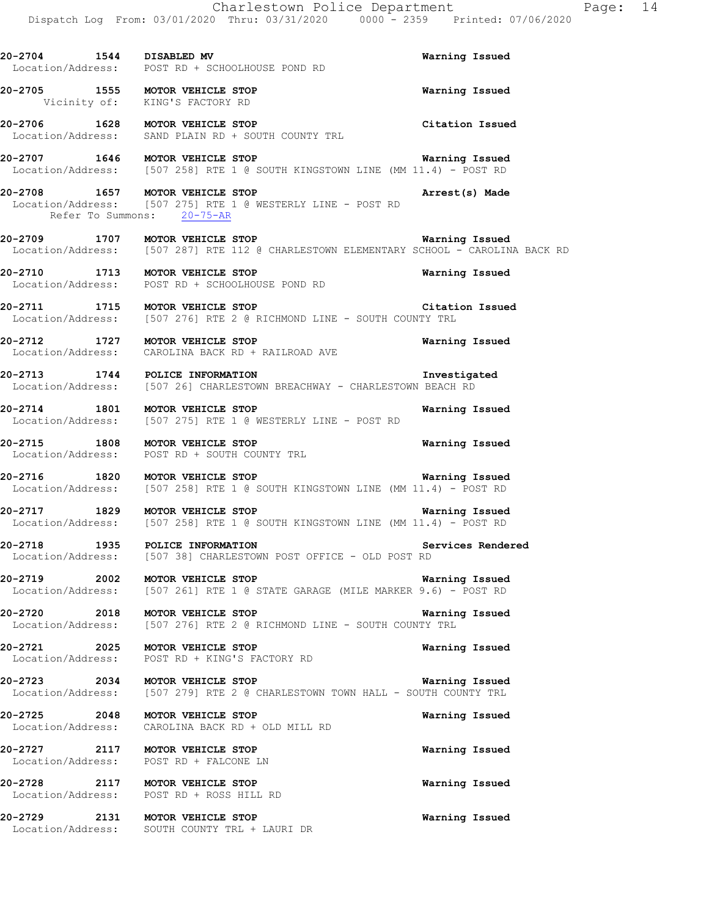**20-2704 1544 DISABLED MV Warning Issued** 

Location/Address: POST RD + SCHOOLHOUSE POND RD

**20-2705 1555 MOTOR VEHICLE STOP Warning Issued**  Vicinity of: KING'S FACTORY RD **20-2706 1628 MOTOR VEHICLE STOP Citation Issued**  Location/Address: SAND PLAIN RD + SOUTH COUNTY TRL **20-2707 1646 MOTOR VEHICLE STOP Warning Issued**<br>Location/Address: [507 258] RTE 1 @ SOUTH KINGSTOWN LINE (MM 11.4) - POST RD [507 258] RTE 1 @ SOUTH KINGSTOWN LINE (MM 11.4) - POST RD **20-2708 1657 MOTOR VEHICLE STOP Arrest(s) Made**  Location/Address: [507 275] RTE 1 @ WESTERLY LINE - POST RD Refer To Summons: 20-75-AR **20-2709 1707 MOTOR VEHICLE STOP Warning Issued**  Location/Address: [507 287] RTE 112 @ CHARLESTOWN ELEMENTARY SCHOOL - CAROLINA BACK RD **20-2710 1713 MOTOR VEHICLE STOP Warning Issued**  Location/Address: POST RD + SCHOOLHOUSE POND RD **20-2711 1715 MOTOR VEHICLE STOP Citation Issued**<br>Location/Address: [507 276] RTE 2 @ RICHMOND LINE - SOUTH COUNTY TRL [507 276] RTE 2 @ RICHMOND LINE - SOUTH COUNTY TRL **20-2712 1727 MOTOR VEHICLE STOP Warning Issued**  Location/Address: CAROLINA BACK RD + RAILROAD AVE **20-2713 1744 POLICE INFORMATION Investigated**  Location/Address: [507 26] CHARLESTOWN BREACHWAY - CHARLESTOWN BEACH RD **20-2714 1801 MOTOR VEHICLE STOP Warning Issued**  Location/Address: [507 275] RTE 1 @ WESTERLY LINE - POST RD **20-2715 1808 MOTOR VEHICLE STOP Warning Issued**  Location/Address: POST RD + SOUTH COUNTY TRL **20-2716 1820 MOTOR VEHICLE STOP WARE WARE WEEN CONSUMENT OF STOP**<br>Location/Address: [507 258] RTE 1 @ SOUTH KINGSTOWN LINE (MM 11.4) - POST RD  $[507 258]$  RTE 1 @ SOUTH KINGSTOWN LINE (MM 11.4) - POST RD **20-2717 1829 MOTOR VEHICLE STOP Warning Issued**  Location/Address: [507 258] RTE 1 @ SOUTH KINGSTOWN LINE (MM 11.4) - POST RD **20-2718 1935 POLICE INFORMATION Services Rendered**  Location/Address: [507 38] CHARLESTOWN POST OFFICE - OLD POST RD **20-2719 2002 MOTOR VEHICLE STOP Warning Issued**  Location/Address: [507 261] RTE 1 @ STATE GARAGE (MILE MARKER 9.6) - POST RD **20-2720 2018 MOTOR VEHICLE STOP Warning Issued**  Location/Address: [507 276] RTE 2 @ RICHMOND LINE - SOUTH COUNTY TRL **20-2721 2025 MOTOR VEHICLE STOP Warning Issued**  Location/Address: POST RD + KING'S FACTORY RD **20-2723 2034 MOTOR VEHICLE STOP Warning Issued**  Location/Address: [507 279] RTE 2 @ CHARLESTOWN TOWN HALL - SOUTH COUNTY TRL **20-2725 2048 MOTOR VEHICLE STOP Warning Issued**  Location/Address: CAROLINA BACK RD + OLD MILL RD

**20-2727 2117 MOTOR VEHICLE STOP Warning Issued**  Location/Address: POST RD + FALCONE LN **20-2728 2117 MOTOR VEHICLE STOP Warning Issued**  Location/Address: POST RD + ROSS HILL RD

**20-2729 2131 MOTOR VEHICLE STOP Warning Issued**  Location/Address: SOUTH COUNTY TRL + LAURI DR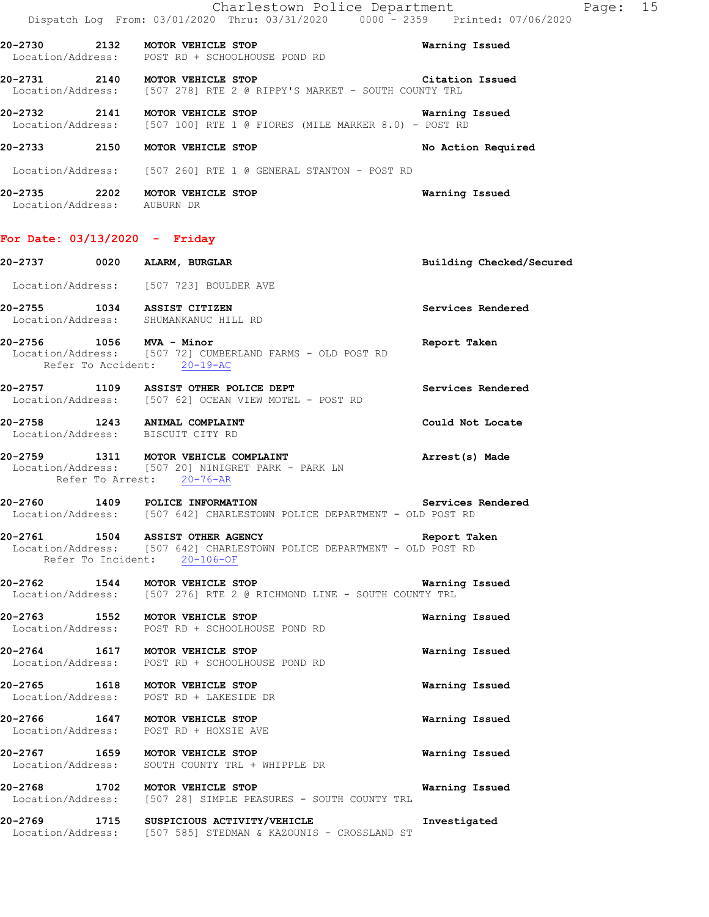|                                                 |                           | Charlestown Police Department                                                  |                    |
|-------------------------------------------------|---------------------------|--------------------------------------------------------------------------------|--------------------|
|                                                 |                           | Dispatch Log From: 03/01/2020 Thru: 03/31/2020 0000 - 2359 Printed: 07/06/2020 |                    |
| Location/Address: POST RD + SCHOOLHOUSE POND RD |                           |                                                                                | Warning Issued     |
| 20-2731 2140                                    | <b>MOTOR VEHICLE STOP</b> | Location/Address: [507 278] RTE 2 @ RIPPY'S MARKET - SOUTH COUNTY TRL          | Citation Issued    |
|                                                 |                           | Location/Address: [507 100] RTE 1 @ FIORES (MILE MARKER 8.0) - POST RD         | Warning Issued     |
| 20-2733<br>2150                                 | MOTOR VEHICLE STOP        |                                                                                | No Action Required |
|                                                 |                           | Location/Address: [507 260] RTE 1 @ GENERAL STANTON - POST RD                  |                    |
| 20-2735<br>2202<br>Location/Address: AUBURN DR  | MOTOR VEHICLE STOP        |                                                                                | Warning Issued     |

### **For Date: 03/13/2020 - Friday**

|  | 20-2737 0020 ALARM, BURGLAR                                                                                                                 | Building Checked/Secured |
|--|---------------------------------------------------------------------------------------------------------------------------------------------|--------------------------|
|  | Location/Address: [507 723] BOULDER AVE                                                                                                     |                          |
|  | 20-2755 1034 ASSIST CITIZEN<br>Location/Address: SHUMANKANUC HILL RD                                                                        | Services Rendered        |
|  | 20-2756 1056 MVA - Minor<br>Location/Address: [507 72] CUMBERLAND FARMS - OLD POST RD<br>Refer To Accident: 20-19-AC                        | Report Taken             |
|  | 20-2757 1109 ASSIST OTHER POLICE DEPT<br>Location/Address: [507 62] OCEAN VIEW MOTEL - POST RD                                              | Services Rendered        |
|  | 20-2758 1243 ANIMAL COMPLAINT<br>Location/Address: BISCUIT CITY RD                                                                          | Could Not Locate         |
|  | 20-2759 1311 MOTOR VEHICLE COMPLAINT<br>Location/Address: [507 20] NINIGRET PARK - PARK LN<br>Refer To Arrest: 20-76-AR                     | Arrest(s) Made           |
|  | 20-2760 1409 POLICE INFORMATION Services<br>Location/Address: [507 642] CHARLESTOWN POLICE DEPARTMENT - OLD POST RD                         | Services Rendered        |
|  | 20-2761 1504 ASSIST OTHER AGENCY<br>Location/Address: [507 642] CHARLESTOWN POLICE DEPARTMENT - OLD POST RD<br>Refer To Incident: 20-106-OF | Report Taken             |
|  | 20-2762 1544 MOTOR VEHICLE STOP Warning<br>Location/Address: [507 276] RTE 2 @ RICHMOND LINE - SOUTH COUNTY TRL                             | Warning Issued           |
|  | 20-2763 1552 MOTOR VEHICLE STOP<br>Location/Address: POST RD + SCHOOLHOUSE POND RD                                                          | Warning Issued           |
|  | 20-2764 1617 MOTOR VEHICLE STOP<br>Location/Address: POST RD + SCHOOLHOUSE POND RD                                                          | Warning Issued           |
|  | 20-2765 1618 MOTOR VEHICLE STOP<br>Location/Address: POST RD + LAKESIDE DR                                                                  | <b>Warning Issued</b>    |
|  | 20-2766 1647 MOTOR VEHICLE STOP<br>Location/Address: POST RD + HOXSIE AVE                                                                   | Warning Issued           |
|  | 20-2767 1659 MOTOR VEHICLE STOP<br>Location/Address: SOUTH COUNTY TRL + WHIPPLE DR                                                          | Warning Issued           |
|  | 20-2768 1702 MOTOR VEHICLE STOP<br>Location/Address: [507 28] SIMPLE PEASURES - SOUTH COUNTY TRL                                            | Warning Issued           |
|  | 20-2769 1715 SUSPICIOUS ACTIVITY/VEHICLE<br>Location/Address: [507 585] STEDMAN & KAZOUNIS - CROSSLAND ST                                   | Investigated             |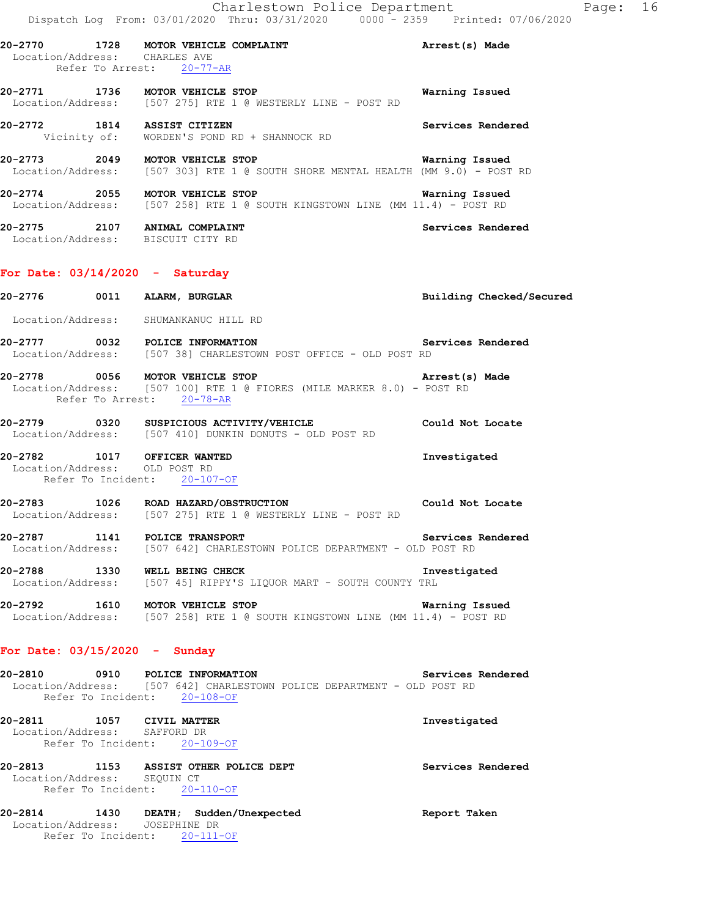**20-2772 1814 ASSIST CITIZEN Services Rendered**  Vicinity of: WORDEN'S POND RD + SHANNOCK RD

- **20-2773 2049 MOTOR VEHICLE STOP WARE MENTAL HEALTH (MM 9.0) POST** bocation/Address: [507 303] RTE 1 @ SOUTH SHORE MENTAL HEALTH (MM 9.0) POST  $[507 303]$  RTE 1 @ SOUTH SHORE MENTAL HEALTH (MM 9.0) - POST RD
- **20-2774 2055 MOTOR VEHICLE STOP Warning Issued**  Location/Address: [507 258] RTE 1 @ SOUTH KINGSTOWN LINE (MM 11.4) - POST RD
- **20-2775 2107 ANIMAL COMPLAINT Services Rendered**  Location/Address: BISCUIT CITY RD

#### **For Date: 03/14/2020 - Saturday**

Refer To Arrest: 20-78-AR

**20-2776 0011 ALARM, BURGLAR Building Checked/Secured**  Location/Address: SHUMANKANUC HILL RD **20-2777 0032 POLICE INFORMATION Services Rendered**  Location/Address: [507 38] CHARLESTOWN POST OFFICE - OLD POST RD **20-2778 0056 MOTOR VEHICLE STOP Arrest(s) Made**  Location/Address: [507 100] RTE 1 @ FIORES (MILE MARKER 8.0) - POST RD

- **20-2779 0320 SUSPICIOUS ACTIVITY/VEHICLE Could Not Locate**  Location/Address: [507 410] DUNKIN DONUTS - OLD POST RD
- **20-2782 1017 OFFICER WANTED Investigated**  Location/Address: OLD POST RD Refer To Incident: 20-107-OF
- **20-2783 1026 ROAD HAZARD/OBSTRUCTION Could Not Locate**  Location/Address: [507 275] RTE 1 @ WESTERLY LINE - POST RD
- **20-2787 1141 POLICE TRANSPORT Services Rendered Services Rendered Industry** 642] CHARLESTOWN POLICE DEPARTMENT OLD POST RD [507 642] CHARLESTOWN POLICE DEPARTMENT - OLD POST RD
- **20-2788 1330 WELL BEING CHECK Investigated**  Location/Address: [507 45] RIPPY'S LIQUOR MART - SOUTH COUNTY TRL
- **20-2792 1610 MOTOR VEHICLE STOP Warning Issued**  Location/Address: [507 258] RTE 1 @ SOUTH KINGSTOWN LINE (MM 11.4) - POST RD

#### **For Date: 03/15/2020 - Sunday**

| 20-2810 | 0910               |  | POLICE INFORMATION                                                      |  |  |  | Services Rendered |  |
|---------|--------------------|--|-------------------------------------------------------------------------|--|--|--|-------------------|--|
|         |                    |  | Location/Address: [507 642] CHARLESTOWN POLICE DEPARTMENT - OLD POST RD |  |  |  |                   |  |
|         | Refer To Incident: |  | $20 - 108 - 0F$                                                         |  |  |  |                   |  |

**20-2811 1057 CIVIL MATTER Investigated**  Location/Address: SAFFORD DR Refer To Incident: 20-109-OF

**20-2813 1153 ASSIST OTHER POLICE DEPT Services Rendered**  Location/Address: SEQUIN CT Refer To Incident: 20-110-OF

**20-2814 1430 DEATH; Sudden/Unexpected Report Taken**  Location/Address: JOSEPHINE DR Refer To Incident: 20-111-OF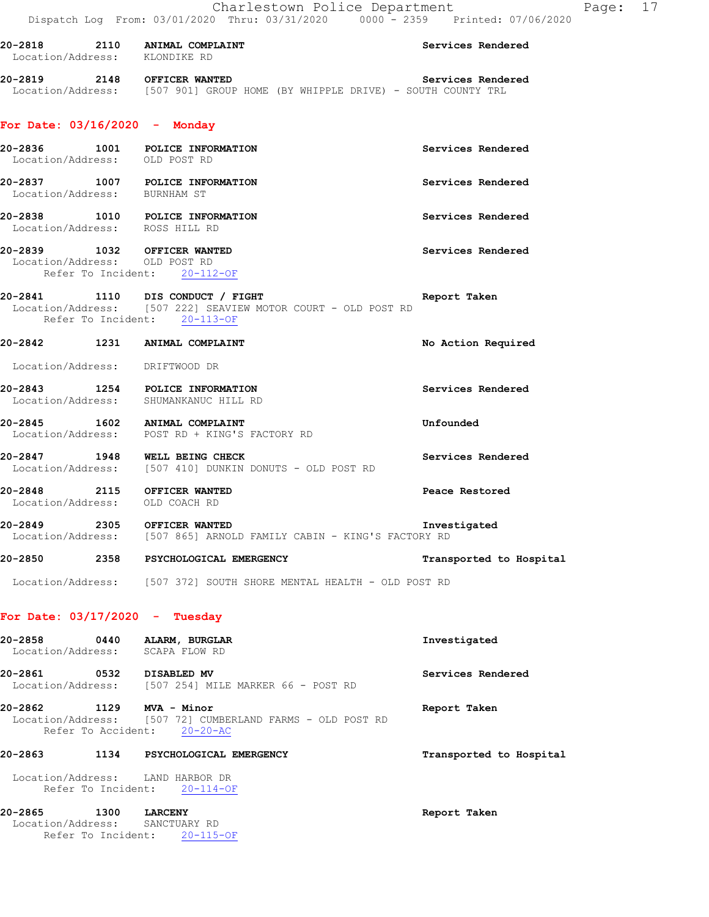| 20-2818           | 2110 | ANIMAL COMPLAINT | Services Rendered |
|-------------------|------|------------------|-------------------|
| Location/Address: |      | KLONDIKE RD      |                   |
|                   |      |                  |                   |

**20-2819 2148 OFFICER WANTED Services Rendered**  Location/Address: [507 901] GROUP HOME (BY WHIPPLE DRIVE) - SOUTH COUNTY TRL

### **For Date: 03/16/2020 - Monday**

| Location/Address: OLD POST RD                                  | 20-2836 1001 POLICE INFORMATION                                                                                                   | Services Rendered       |
|----------------------------------------------------------------|-----------------------------------------------------------------------------------------------------------------------------------|-------------------------|
| Location/Address: BURNHAM ST                                   | 20-2837 1007 POLICE INFORMATION                                                                                                   | Services Rendered       |
| Location/Address: ROSS HILL RD                                 | 20-2838 1010 POLICE INFORMATION                                                                                                   | Services Rendered       |
| 20-2839 1032 OFFICER WANTED<br>Location/Address: OLD POST RD   | Refer To Incident: 20-112-OF                                                                                                      | Services Rendered       |
|                                                                | 20-2841 1110 DIS CONDUCT / FIGHT<br>Location/Address: [507 222] SEAVIEW MOTOR COURT - OLD POST RD<br>Refer To Incident: 20-113-OF | Report Taken            |
|                                                                | 20-2842 1231 ANIMAL COMPLAINT                                                                                                     | No Action Required      |
| Location/Address: DRIFTWOOD DR                                 |                                                                                                                                   |                         |
|                                                                | 20-2843 1254 POLICE INFORMATION<br>Location/Address: SHUMANKANUC HILL RD                                                          | Services Rendered       |
|                                                                | 20-2845 1602 ANIMAL COMPLAINT<br>Location/Address: POST RD + KING'S FACTORY RD                                                    | Unfounded               |
|                                                                | 20-2847 1948 WELL BEING CHECK<br>Location/Address: [507 410] DUNKIN DONUTS - OLD POST RD                                          | Services Rendered       |
| 20-2848 2115 OFFICER WANTED<br>Location/Address: OLD COACH RD  |                                                                                                                                   | Peace Restored          |
| 20-2849 2305 OFFICER WANTED                                    | Location/Address: [507 865] ARNOLD FAMILY CABIN - KING'S FACTORY RD                                                               | Investigated            |
|                                                                | 20-2850 2358 PSYCHOLOGICAL EMERGENCY                                                                                              | Transported to Hospital |
|                                                                | Location/Address: [507 372] SOUTH SHORE MENTAL HEALTH - OLD POST RD                                                               |                         |
| For Date: $03/17/2020 -$ Tuesday                               |                                                                                                                                   |                         |
| 20-2858 0440 ALARM, BURGLAR<br>Location/Address: SCAPA FLOW RD |                                                                                                                                   | Investigated            |
| 20-2861 0532 DISABLED MV                                       | Location/Address: [507 254] MILE MARKER 66 - POST RD                                                                              | Services Rendered       |
|                                                                |                                                                                                                                   |                         |

**20-2862 1129 MVA - Minor Report Taken**  Location/Address: [507 72] CUMBERLAND FARMS - OLD POST RD Refer To Accident: 20-20-AC

# **20-2863 1134 PSYCHOLOGICAL EMERGENCY Transported to Hospital**

 Location/Address: LAND HARBOR DR Refer To Incident: 20-114-OF

#### **20-2865 1300 LARCENY Report Taken**

 Location/Address: SANCTUARY RD Refer To Incident: 20-115-OF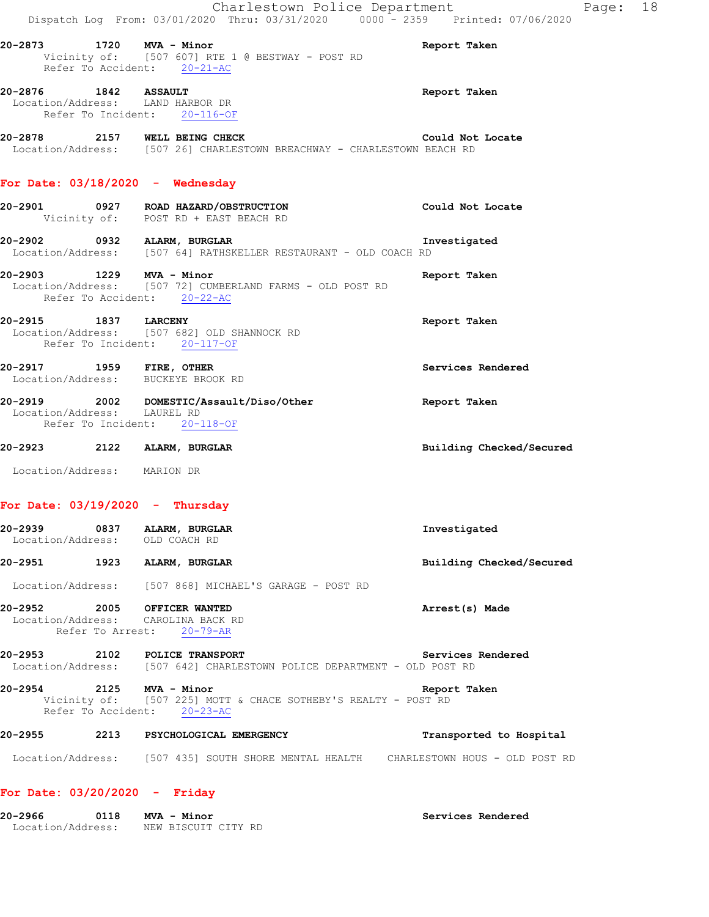| Investigated                                                                                  |  | Building Checked/Secured | Location/Address: [507 868] MICHAEL'S GARAGE - POST RD<br>Arrest(s) Made | Services Rendered | Location/Address: [507 642] CHARLESTOWN POLICE DEPARTMENT - OLD POST RD<br>Report Taken<br>Vicinity of: [507 225] MOTT & CHACE SOTHEBY'S REALTY - POST RD | Refer To Accident: 20-21-AC<br>20-2876 1842 ASSAULT<br>Location/Address: LAND HARBOR DR<br>Refer To Incident: 20-116-OF<br>20-2878 2157 WELL BEING CHECK<br>Location/Address: [507 26] CHARLESTOWN BREACHWAY - CHARLESTOWN BEACH RD<br>For Date: $03/18/2020 -$ Wednesday<br>20-2901 0927 ROAD HAZARD/OBSTRUCTION<br>Vicinity of: POST RD + EAST BEACH RD<br>20-2903 1229 MVA - Minor<br>20-2917 1959 FIRE, OTHER<br>Location/Address: BUCKEYE BROOK RD<br>Location/Address: LAUREL RD<br>20-2923 2122 ALARM, BURGLAR |
|-----------------------------------------------------------------------------------------------|--|--------------------------|--------------------------------------------------------------------------|-------------------|-----------------------------------------------------------------------------------------------------------------------------------------------------------|-----------------------------------------------------------------------------------------------------------------------------------------------------------------------------------------------------------------------------------------------------------------------------------------------------------------------------------------------------------------------------------------------------------------------------------------------------------------------------------------------------------------------|
| Report Taken<br>Report Taken<br>Services Rendered<br>Report Taken<br>Building Checked/Secured |  |                          |                                                                          |                   |                                                                                                                                                           | Location/Address: [507 64] RATHSKELLER RESTAURANT - OLD COACH RD                                                                                                                                                                                                                                                                                                                                                                                                                                                      |
|                                                                                               |  |                          |                                                                          |                   |                                                                                                                                                           | Location/Address: [507 72] CUMBERLAND FARMS - OLD POST RD<br>Refer To Accident: 20-22-AC                                                                                                                                                                                                                                                                                                                                                                                                                              |
|                                                                                               |  |                          |                                                                          |                   |                                                                                                                                                           | 20-2915 1837 LARCENY<br>Location/Address: [507 682] OLD SHANNOCK RD<br>Refer To Incident: 20-117-OF                                                                                                                                                                                                                                                                                                                                                                                                                   |
|                                                                                               |  |                          |                                                                          |                   |                                                                                                                                                           |                                                                                                                                                                                                                                                                                                                                                                                                                                                                                                                       |
|                                                                                               |  |                          |                                                                          |                   |                                                                                                                                                           | 20-2919 2002 DOMESTIC/Assault/Diso/Other<br>Refer To Incident: 20-118-OF                                                                                                                                                                                                                                                                                                                                                                                                                                              |
|                                                                                               |  |                          |                                                                          |                   |                                                                                                                                                           |                                                                                                                                                                                                                                                                                                                                                                                                                                                                                                                       |

### **For Date: 03/20/2020 - Friday**

| 20-2966           | 0118 | MVA - Minor         | Services Rendered |
|-------------------|------|---------------------|-------------------|
| Location/Address: |      | NEW BISCUIT CITY RD |                   |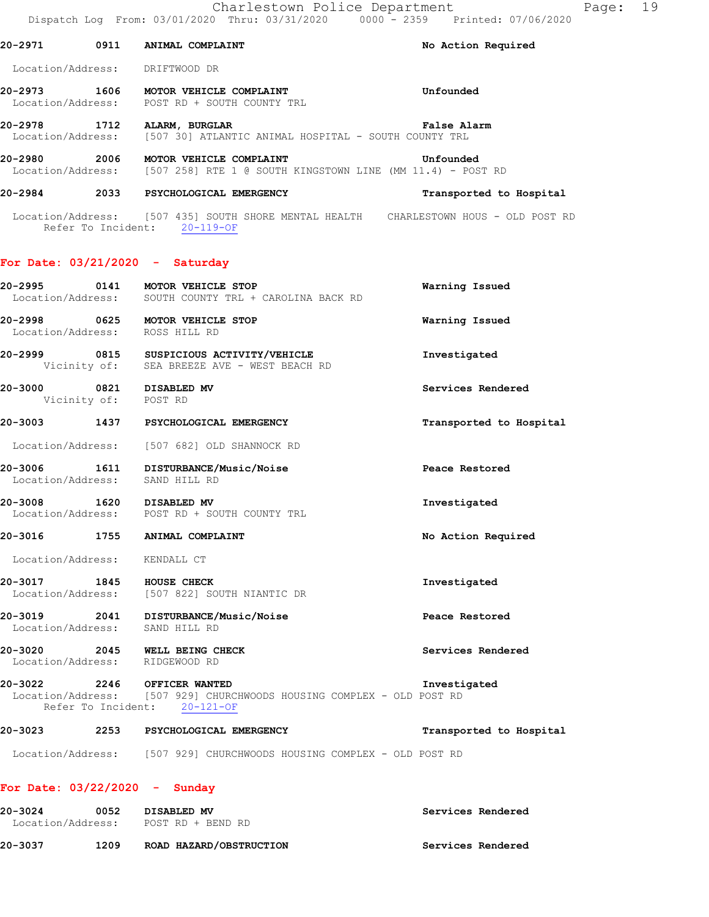**20-2978 1712 ALARM, BURGLAR False Alarm**  Location/Address: [507 30] ATLANTIC ANIMAL HOSPITAL - SOUTH COUNTY TRL

**20-2980 2006 MOTOR VEHICLE COMPLAINT Unfounded**  Location/Address: [507 258] RTE 1 @ SOUTH KINGSTOWN LINE (MM 11.4) - POST RD

#### **20-2984 2033 PSYCHOLOGICAL EMERGENCY Transported to Hospital**

 Location/Address: [507 435] SOUTH SHORE MENTAL HEALTH CHARLESTOWN HOUS - OLD POST RD Refer To Incident: 20-119-OF

#### **For Date: 03/21/2020 - Saturday**

| 20-2995 0141                                     | MOTOR VEHICLE STOP<br>Location/Address: SOUTH COUNTY TRL + CAROLINA BACK RD                           | Warning Issued          |
|--------------------------------------------------|-------------------------------------------------------------------------------------------------------|-------------------------|
|                                                  | 20-2998 0625 MOTOR VEHICLE STOP<br>Location/Address: ROSS HILL RD                                     | Warning Issued          |
|                                                  | 20-2999 0815 SUSPICIOUS ACTIVITY/VEHICLE<br>Vicinity of: SEA BREEZE AVE - WEST BEACH RD               | Investigated            |
| 20-3000 0821 DISABLED MV<br>Vicinity of: POST RD |                                                                                                       | Services Rendered       |
|                                                  | 20-3003 1437 PSYCHOLOGICAL EMERGENCY                                                                  | Transported to Hospital |
|                                                  | Location/Address: [507 682] OLD SHANNOCK RD                                                           |                         |
| Location/Address: SAND HILL RD                   | 20-3006 1611 DISTURBANCE/Music/Noise                                                                  | Peace Restored          |
| 20-3008 1620 DISABLED MV                         | Location/Address: POST RD + SOUTH COUNTY TRL                                                          | Investigated            |
|                                                  | 20-3016 1755 ANIMAL COMPLAINT                                                                         | No Action Required      |
| Location/Address: KENDALL CT                     |                                                                                                       |                         |
|                                                  | 20-3017 1845 HOUSE CHECK<br>Location/Address: [507 822] SOUTH NIANTIC DR                              | Investigated            |
|                                                  | 20-3019 2041 DISTURBANCE/Music/Noise<br>Location/Address: SAND HILL RD                                | Peace Restored          |
|                                                  | 20-3020 2045 WELL BEING CHECK<br>Location/Address: RIDGEWOOD RD                                       | Services Rendered       |
| 20-3022 2246 OFFICER WANTED                      | Location/Address: [507 929] CHURCHWOODS HOUSING COMPLEX - OLD POST RD<br>Refer To Incident: 20-121-OF | Investigated            |
|                                                  | 20-3023 2253 PSYCHOLOGICAL EMERGENCY                                                                  | Transported to Hospital |
|                                                  | Location/Address: [507 929] CHURCHWOODS HOUSING COMPLEX - OLD POST RD                                 |                         |
| For Date: $03/22/2020 -$ Sunday                  |                                                                                                       |                         |

### **20-3024 0052 DISABLED MV Services Rendered**  Location/Address: POST RD + BEND RD **20-3037 1209 ROAD HAZARD/OBSTRUCTION Services Rendered**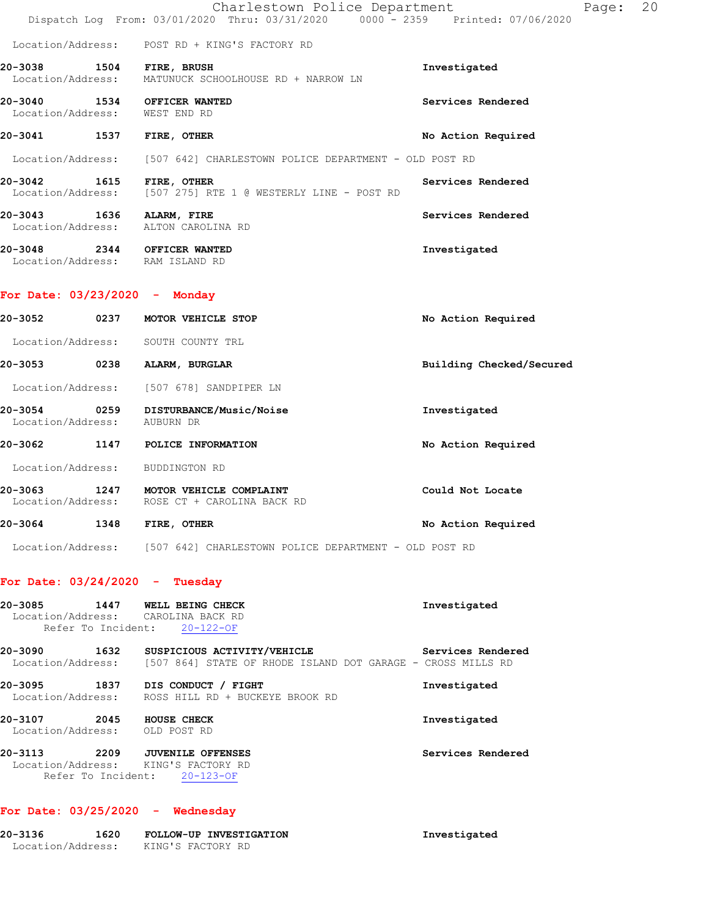|                                      | Charlestown Police Department<br>Dispatch Log From: 03/01/2020 Thru: 03/31/2020 0000 - 2359 Printed: 07/06/2020 | 20<br>Page:        |
|--------------------------------------|-----------------------------------------------------------------------------------------------------------------|--------------------|
|                                      | Location/Address: POST RD + KING'S FACTORY RD                                                                   |                    |
| 20-3038 1504<br>Location/Address:    | FIRE, BRUSH<br>MATUNUCK SCHOOLHOUSE RD + NARROW LN                                                              | Investigated       |
| 20-3040<br>Location/Address:         | 1534 OFFICER WANTED<br>WEST END RD                                                                              | Services Rendered  |
| 1537<br>20-3041                      | FIRE, OTHER                                                                                                     | No Action Required |
|                                      | Location/Address: [507 642] CHARLESTOWN POLICE DEPARTMENT - OLD POST RD                                         |                    |
| 1615<br>20-3042                      | FIRE, OTHER<br>Location/Address: [507 275] RTE 1 @ WESTERLY LINE - POST RD                                      | Services Rendered  |
| 20-3043 1636<br>Location/Address:    | ALARM, FIRE<br>ALTON CAROLINA RD                                                                                | Services Rendered  |
| 20-3048<br>2344<br>Location/Address: | <b>OFFICER WANTED</b><br>RAM ISLAND RD                                                                          | Investigated       |

### **For Date: 03/23/2020 - Monday**

| 20-3052                      | 0237 | MOTOR VEHICLE STOP                                    | No Action Required       |
|------------------------------|------|-------------------------------------------------------|--------------------------|
| Location/Address:            |      | SOUTH COUNTY TRL                                      |                          |
| 20-3053                      | 0238 | ALARM, BURGLAR                                        | Building Checked/Secured |
| Location/Address:            |      | [507 678] SANDPIPER LN                                |                          |
| 20-3054<br>Location/Address: | 0259 | DISTURBANCE/Music/Noise<br>AUBURN DR                  | Investigated             |
| 20-3062                      | 1147 | POLICE INFORMATION                                    | No Action Required       |
| Location/Address:            |      | BUDDINGTON RD                                         |                          |
| 20-3063<br>Location/Address: | 1247 | MOTOR VEHICLE COMPLAINT<br>ROSE CT + CAROLINA BACK RD | Could Not Locate         |
| 20-3064                      | 1348 | FIRE, OTHER                                           | No Action Required       |
| Location/Address:            |      | [507 642] CHARLESTOWN POLICE DEPARTMENT - OLD POST RD |                          |

### **For Date: 03/24/2020 - Tuesday**

| 20-3085<br>Location/Address:<br>Refer To Incident: | 1447 | WELL BEING CHECK<br>CAROLINA BACK RD<br>$20 - 122 - 0F$                                    | Investigated      |
|----------------------------------------------------|------|--------------------------------------------------------------------------------------------|-------------------|
| 20-3090<br>Location/Address:                       | 1632 | SUSPICIOUS ACTIVITY/VEHICLE<br>[507 864] STATE OF RHODE ISLAND DOT GARAGE - CROSS MILLS RD | Services Rendered |
| 20-3095<br>Location/Address:                       | 1837 | DIS CONDUCT<br><b>FIGHT</b><br>ROSS HILL RD + BUCKEYE BROOK RD                             | Investigated      |
| 20-3107<br>Location/Address:                       | 2045 | HOUSE CHECK<br>OLD POST RD                                                                 | Investigated      |
| 20-3113<br>Location/Address:<br>Refer To Incident: | 2209 | <b>JUVENILE OFFENSES</b><br>KING'S FACTORY RD<br>$20 - 123 - OF$                           | Services Rendered |

### **For Date: 03/25/2020 - Wednesday**

| 20-3136           | 1620 | FOLLOW-UP INVESTIGATION | Investigated |
|-------------------|------|-------------------------|--------------|
| Location/Address: |      | KING'S FACTORY RD       |              |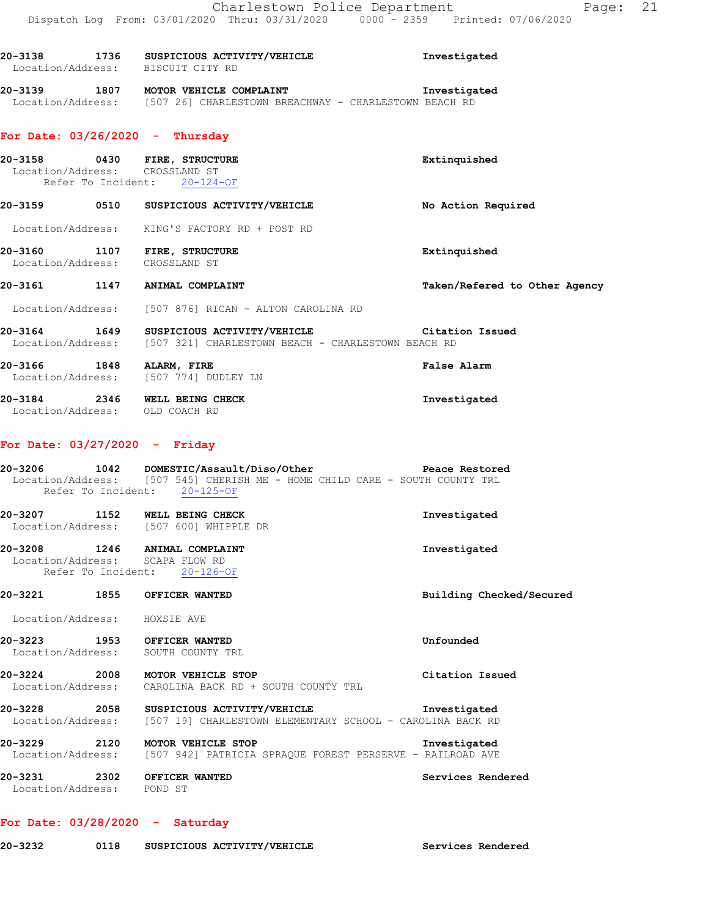| 20-3138 |                   | 1736 SUSPICIOUS ACTIVITY/VEHICLE<br>Location/Address: BISCUIT CITY RD                                   | Investigated                  |
|---------|-------------------|---------------------------------------------------------------------------------------------------------|-------------------------------|
| 20-3139 |                   | 1807 MOTOR VEHICLE COMPLAINT<br>Location/Address: [507 26] CHARLESTOWN BREACHWAY - CHARLESTOWN BEACH RD | Investigated                  |
|         |                   | For Date: $03/26/2020 -$ Thursday                                                                       |                               |
|         |                   | 20-3158 0430 FIRE, STRUCTURE<br>Location/Address: CROSSLAND ST<br>Refer To Incident: 20-124-OF          | Extinquished                  |
| 20-3159 | 0510              | SUSPICIOUS ACTIVITY/VEHICLE                                                                             | No Action Required            |
|         |                   | Location/Address: KING'S FACTORY RD + POST RD                                                           |                               |
| 20-3160 | 1107              | FIRE, STRUCTURE<br>Location/Address: CROSSLAND ST                                                       | Extinquished                  |
| 20-3161 | 1147              | ANIMAL COMPLAINT                                                                                        | Taken/Refered to Other Agency |
|         | Location/Address: | [507 876] RICAN - ALTON CAROLINA RD                                                                     |                               |

**20-3164 1649 SUSPICIOUS ACTIVITY/VEHICLE Citation Issued**  Location/Address: [507 321] CHARLESTOWN BEACH - CHARLESTOWN BEACH RD

**20-3166 1848 ALARM, FIRE False Alarm**  Location/Address: [507 774] DUDLEY LN **20-3184 2346 WELL BEING CHECK Investigated**  Location/Address: OLD COACH RD

#### **For Date: 03/27/2020 - Friday**

| 20-3206                                                                     | 1042                         |  | DOMESTIC/Assault/Diso/Other |  |  |  | Peace Restored |  |
|-----------------------------------------------------------------------------|------------------------------|--|-----------------------------|--|--|--|----------------|--|
| Location/Address: [507 545] CHERISH ME - HOME CHILD CARE - SOUTH COUNTY TRL |                              |  |                             |  |  |  |                |  |
|                                                                             | Refer To Incident: 20-125-OF |  |                             |  |  |  |                |  |
| 20-3207                                                                     | 1152                         |  | WELL BEING CHECK            |  |  |  | Investigated   |  |

 Location/Address: [507 600] WHIPPLE DR **20-3208 1246 ANIMAL COMPLAINT Investigated**  Location/Address: SCAPA FLOW RD

Refer To Incident: 20-126-OF

**20-3221 1855 OFFICER WANTED Building Checked/Secured** 

Location/Address: HOXSIE AVE

**20-3223 1953 OFFICER WANTED Unfounded**  Location/Address: SOUTH COUNTY TRL

**20-3224 2008 MOTOR VEHICLE STOP Citation Issued**  Location/Address: CAROLINA BACK RD + SOUTH COUNTY TRL

20-3228 2058 SUSPICIOUS ACTIVITY/VEHICLE **Investigated**<br>Location/Address: [507 19] CHARLESTOWN ELEMENTARY SCHOOL - CAROLINA BACK RD [507 19] CHARLESTOWN ELEMENTARY SCHOOL - CAROLINA BACK RD

**20-3229 2120 MOTOR VEHICLE STOP Investigated**  Location/Address: [507 942] PATRICIA SPRAQUE FOREST PERSERVE - RAILROAD AVE

**20-3231 2302 OFFICER WANTED Services Rendered**  Location/Address: POND ST

#### **For Date: 03/28/2020 - Saturday**

| 20-3232 |  | SUSPICIOUS ACTIVITY/VEHICLE | Services Rendered |
|---------|--|-----------------------------|-------------------|
|---------|--|-----------------------------|-------------------|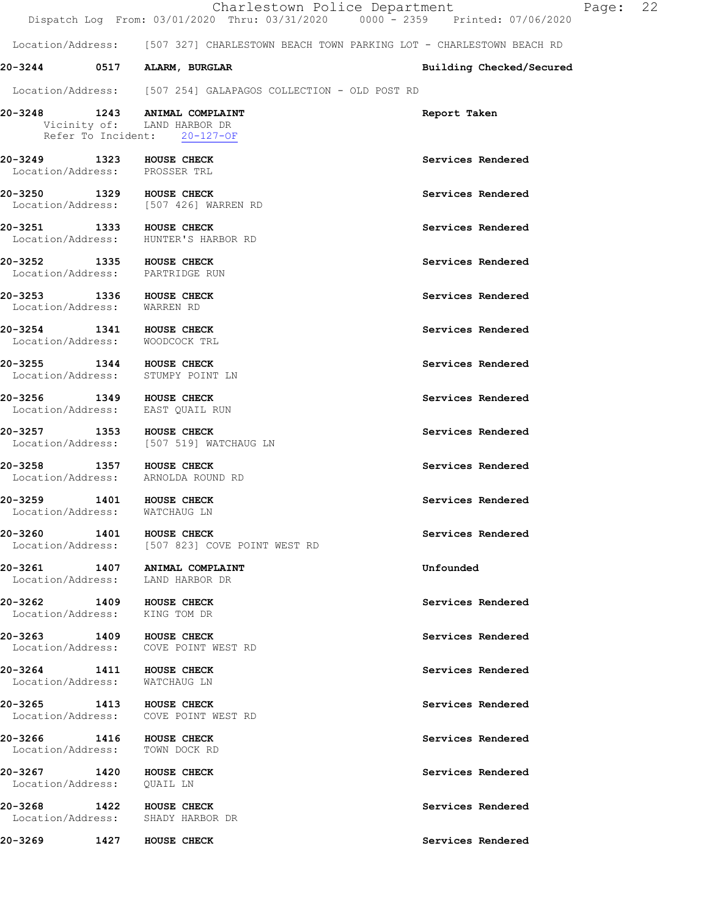|                                                                  |                                                                                              | Charlestown Police Department<br>Dispatch Log From: 03/01/2020 Thru: 03/31/2020 0000 - 2359 Printed: 07/06/2020 | Page: 22 |  |
|------------------------------------------------------------------|----------------------------------------------------------------------------------------------|-----------------------------------------------------------------------------------------------------------------|----------|--|
|                                                                  |                                                                                              | Location/Address: [507 327] CHARLESTOWN BEACH TOWN PARKING LOT - CHARLESTOWN BEACH RD                           |          |  |
|                                                                  | 20-3244 0517 ALARM, BURGLAR                                                                  | Building Checked/Secured                                                                                        |          |  |
|                                                                  | Location/Address: [507 254] GALAPAGOS COLLECTION - OLD POST RD                               |                                                                                                                 |          |  |
|                                                                  | 20-3248 1243 ANIMAL COMPLAINT<br>Vicinity of: LAND HARBOR DR<br>Refer To Incident: 20-127-OF | Report Taken                                                                                                    |          |  |
| 20-3249 1323 HOUSE CHECK<br>Location/Address: PROSSER TRL        |                                                                                              | Services Rendered                                                                                               |          |  |
|                                                                  | 20-3250 1329 HOUSE CHECK<br>Location/Address: [507 426] WARREN RD                            | Services Rendered                                                                                               |          |  |
| 20-3251 1333 HOUSE CHECK                                         | Location/Address: HUNTER'S HARBOR RD                                                         | Services Rendered                                                                                               |          |  |
| 20-3252 1335 HOUSE CHECK                                         | Location/Address: PARTRIDGE RUN                                                              | Services Rendered                                                                                               |          |  |
| 20-3253 1336 HOUSE CHECK<br>Location/Address:                    | WARREN RD                                                                                    | Services Rendered                                                                                               |          |  |
| 20-3254 1341 HOUSE CHECK<br>Location/Address: WOODCOCK TRL       |                                                                                              | Services Rendered                                                                                               |          |  |
| 20-3255 1344 HOUSE CHECK                                         | Location/Address: STUMPY POINT LN                                                            | Services Rendered                                                                                               |          |  |
| 20-3256                                                          | 1349 HOUSE CHECK<br>Location/Address: EAST QUAIL RUN                                         | Services Rendered                                                                                               |          |  |
| 20-3257 1353 HOUSE CHECK                                         | Location/Address: [507 519] WATCHAUG LN                                                      | Services Rendered                                                                                               |          |  |
| 20-3258                                                          | 1357 HOUSE CHECK<br>Location/Address: ARNOLDA ROUND RD                                       | Services Rendered                                                                                               |          |  |
| 20-3259 1401 HOUSE CHECK<br>Location/Address: WATCHAUG LN        |                                                                                              | Services Rendered                                                                                               |          |  |
| 20-3260 1401 HOUSE CHECK                                         | Location/Address: [507 823] COVE POINT WEST RD                                               | Services Rendered                                                                                               |          |  |
|                                                                  | 20-3261 1407 ANIMAL COMPLAINT<br>Location/Address: LAND HARBOR DR                            | Unfounded                                                                                                       |          |  |
| <b>20-3262 1409 HOUSE CHECK</b><br>Location/Address: KING TOM DR |                                                                                              | Services Rendered                                                                                               |          |  |
| 20-3263 1409 HOUSE CHECK                                         | Location/Address: COVE POINT WEST RD                                                         | Services Rendered                                                                                               |          |  |
| 20-3264 1411 HOUSE CHECK<br>Location/Address: WATCHAUG LN        |                                                                                              | Services Rendered                                                                                               |          |  |
| 20-3265 1413 HOUSE CHECK                                         | Location/Address: COVE POINT WEST RD                                                         | Services Rendered                                                                                               |          |  |
| 20-3266 1416 HOUSE CHECK<br>Location/Address: TOWN DOCK RD       |                                                                                              | Services Rendered                                                                                               |          |  |
| 20-3267 1420 HOUSE CHECK<br>Location/Address: QUAIL LN           |                                                                                              | Services Rendered                                                                                               |          |  |
| 20-3268                                                          | 1422 HOUSE CHECK<br>Location/Address: SHADY HARBOR DR                                        | Services Rendered                                                                                               |          |  |
| <b>20-3269 1427 HOUSE CHECK</b>                                  |                                                                                              | Services Rendered                                                                                               |          |  |
|                                                                  |                                                                                              |                                                                                                                 |          |  |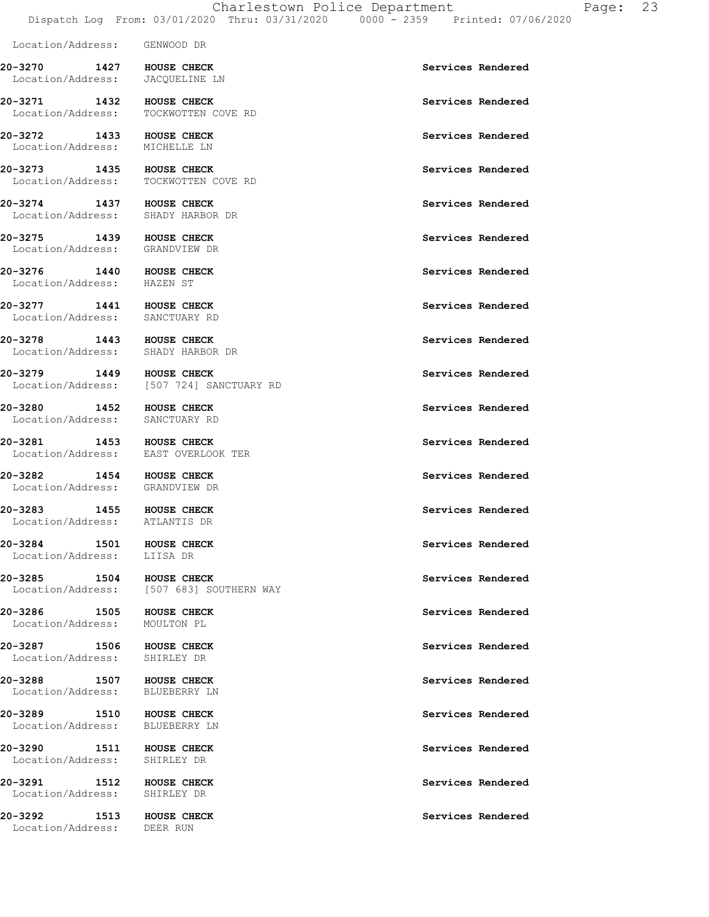Location/Address: GENWOOD DR **20-3270 1427 HOUSE CHECK Services Rendered**  Location/Address: JACQUELINE LN **20-3271 1432 HOUSE CHECK Services Rendered Exercise Services Rendered** Services Rendered **Services Rendered** TOCKWOTTEN COVE RD **20-3272 1433 HOUSE CHECK Services Rendered**  Location/Address: MICHELLE LN **20-3273** 1435 HOUSE CHECK **1435 HOUSE CHECK** Services Rendered Location/Address: TOCKWOTTEN COVE RD **20-3274 1437 HOUSE CHECK Services Rendered**  Location/Address: SHADY HARBOR DR 20-3275 1439 HOUSE CHECK **Services Rendered**  Location/Address: GRANDVIEW DR **20-3276 1440 HOUSE CHECK Services Rendered**  Location/Address: HAZEN ST **20-3277 1441 HOUSE CHECK Services Rendered Services Rendered** Services Rendered **Services Rendered** Location/Address: **20-3278** 1443 HOUSE CHECK **1443** HOUSE CHECK SERVICES Rendered Location/Address: SHADY HARBOR DR **20-3279 1449 HOUSE CHECK Services Rendered**  Location/Address: [507 724] SANCTUARY RD **20-3280 1452 HOUSE CHECK Services Rendered Services Rendered** Services Rendered **Services** Rendered Location/Address: 20-3281 1453 HOUSE CHECK **Services Rendered**  Location/Address: EAST OVERLOOK TER **20-3282 1454 HOUSE CHECK Services Rendered**  Location/Address: GRANDVIEW DR **20-3283 1455 HOUSE CHECK Services Rendered**  Location/Address: ATLANTIS DR **20-3284 1501 HOUSE CHECK Services Rendered**  Location/Address: LIISA DR **20-3285 1504 HOUSE CHECK Services Rendered**  Location/Address: [507 683] SOUTHERN WAY 20-3286 1505 HOUSE CHECK **1505 1506** HOUSE CHECK Location/Address: MOULTON PL **20-3287 1506 HOUSE CHECK Services Rendered**  Location/Address: SHIRLEY DR **20-3288 1507 HOUSE CHECK Services Rendered**  Location/Address: BLUEBERRY LN **20-3289 1510 HOUSE CHECK Services Rendered**  Location/Address: BLUEBERRY LN 20-3290 1511 HOUSE CHECK **Services Rendered**  Location/Address: SHIRLEY DR 20-3291 1512 HOUSE CHECK **1512** HOUSE CHECK Location/Address: SHIRLEY DR **20-3292 1513 HOUSE CHECK Services Rendered**  Location/Address: DEER RUN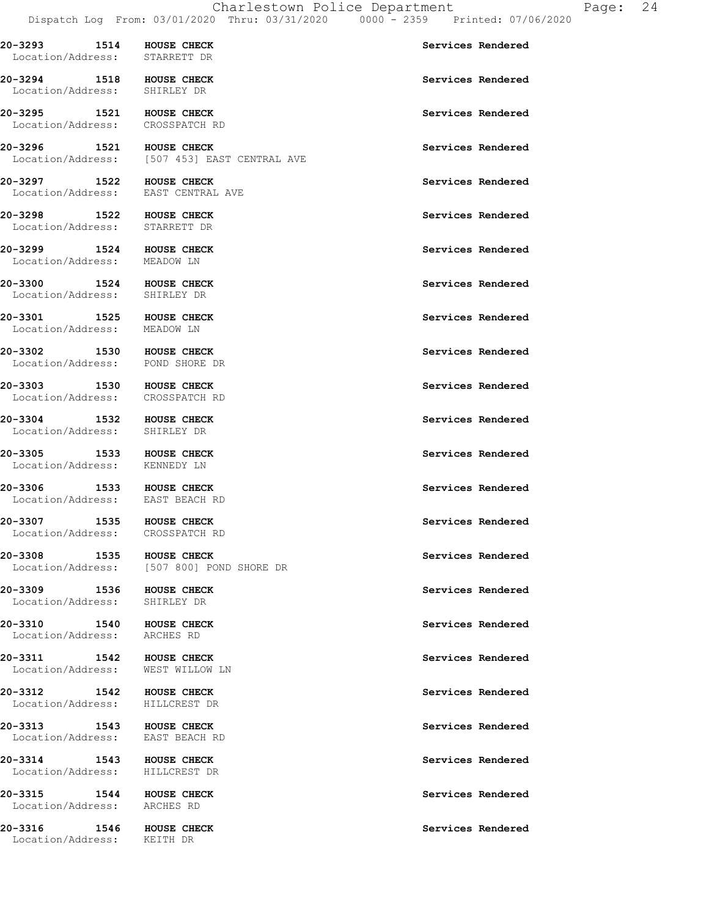**20-3293 1514 HOUSE CHECK Services Rendered** 

Location/Address: STARRETT DR

**20-3294 1518 HOUSE CHECK Services Rendered**  Location/Address: SHIRLEY DR **20-3295 1521 HOUSE CHECK Services Rendered**  Location/Address: CROSSPATCH RD **20-3296 1521 HOUSE CHECK Services Rendered Services Rendered Services Rendered ICO** [507 453] EAST CENTRAL AVE **20-3297 1522 HOUSE CHECK Services Rendered**  Location/Address: EAST CENTRAL AVE **20-3298 1522 HOUSE CHECK Services Rendered**  Location/Address: STARRETT DR **20-3299 1524 HOUSE CHECK Services Rendered Exercise Services Rendered** Services Rendered **Services Rendered** Location/Address: **20-3300 1524 HOUSE CHECK Services Rendered**  Location/Address: SHIRLEY DR 20-3301 1525 HOUSE CHECK **1525 HOUSE CHECK** Services Rendered Location/Address: MEADOW LN 20-3302 1530 HOUSE CHECK **1530 HOUSE CHECK** Services Rendered Location/Address: POND SHORE DR **20-3303 1530 HOUSE CHECK Services Rendered**  Location/Address: CROSSPATCH RD **20-3304 1532 HOUSE CHECK 120 Services Rendered Services Rendered** Location/Address: **20-3305 1533 HOUSE CHECK Services Rendered**  Location/Address: KENNEDY LN 20-3306 1533 HOUSE CHECK **1533 HOUSE CHECK** Services Rendered Location/Address: EAST BEACH RD 20-3307 1535 HOUSE CHECK **Services Rendered**  Location/Address: CROSSPATCH RD **20-3308 1535 HOUSE CHECK Services Rendered**  Location/Address: [507 800] POND SHORE DR **20-3309 1536 HOUSE CHECK Services Rendered**  Location/Address: SHIRLEY DR **20-3310** 1540 HOUSE CHECK **1540** HOUSE CHECK Location/Address: ARCHES RD 20-3311 1542 HOUSE CHECK **Services Rendered**  Location/Address: WEST WILLOW LN **20-3312 1542 HOUSE CHECK Services Rendered**  Location/Address: HILLCREST DR **20-3313 1543 HOUSE CHECK Services Rendered**  Location/Address: EAST BEACH RD 20-3314 1543 HOUSE CHECK **1543** HOUSE CHECK Services Rendered Location/Address: HILLCREST DR **20-3315** 1544 HOUSE CHECK **1544 HOUSE CHECK** Services Rendered Location/Address: ARCHES RD **20-3316 1546 HOUSE CHECK Services Rendered**  Location/Address: KEITH DR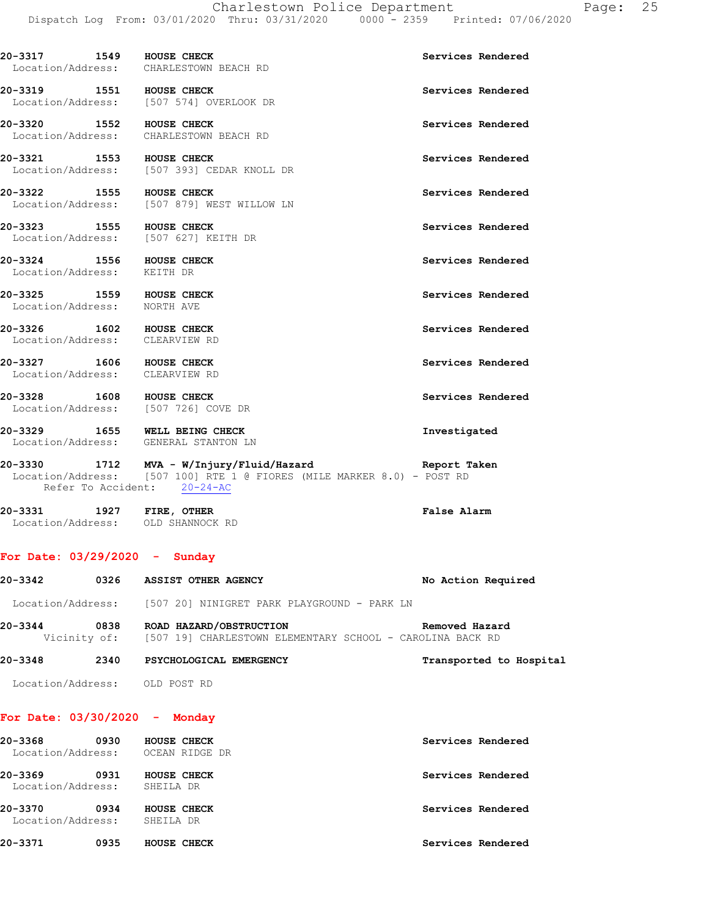|                              |      | Dispatch Log From: 03/01/2020 Thru: 03/31/2020         | $0000 - 2359$ Printed: $0770672020$ |
|------------------------------|------|--------------------------------------------------------|-------------------------------------|
| 20-3317<br>Location/Address: | 1549 | HOUSE CHECK<br>CHARLESTOWN BEACH RD                    | Services Rendered                   |
| 20-3319                      | 1551 | HOUSE CHECK<br>Location/Address: [507 574] OVERLOOK DR | Services Rendered                   |

**20-3320 1552 HOUSE CHECK Services Rendered**  Location/Address: CHARLESTOWN BEACH RD

**20-3321 1553 HOUSE CHECK Services Rendered**  Location/Address: [507 393] CEDAR KNOLL DR

**20-3322 1555 HOUSE CHECK Services Rendered**  Location/Address: [507 879] WEST WILLOW LN

20-3323 1555 HOUSE CHECK **1556** HOUSE CHECK Location/Address: [507 627] KEITH DR

**20-3324 1556 HOUSE CHECK Services Rendered**  Location/Address: KEITH DR

**20-3325 1559 HOUSE CHECK Services Rendered**  Location/Address: NORTH AVE

**20-3326** 1602 HOUSE CHECK **1602 HOUSE CHECK** Services Rendered Location/Address: CLEARVIEW RD

**20-3327 1606 HOUSE CHECK Services Rendered** Location/Address: CLEARVIEW RD

20-3328 1608 HOUSE CHECK **1608 Services Rendered** Location/Address: [507 726] COVE DR

**20-3329 1655 WELL BEING CHECK Investigated**  Location/Address: GENERAL STANTON LN

**20-3330 1712 MVA - W/Injury/Fluid/Hazard Report Taken**  Location/Address: [507 100] RTE 1 @ FIORES (MILE MARKER 8.0) - POST RD Refer To Accident: 20-24-AC

**20-3331 1927 FIRE, OTHER False Alarm**  Location/Address: OLD SHANNOCK RD

#### **For Date: 03/29/2020 - Sunday**

| 20-3342 | 0326 | <b>ASSIST OTHER AGENCY</b>                                                                        | No Action Required      |
|---------|------|---------------------------------------------------------------------------------------------------|-------------------------|
|         |      | Location/Address: [507 20] NINIGRET PARK PLAYGROUND - PARK LN                                     |                         |
| 20-3344 | 0838 | ROAD HAZARD/OBSTRUCTION<br>Vicinity of: [507 19] CHARLESTOWN ELEMENTARY SCHOOL - CAROLINA BACK RD | Removed Hazard          |
| 20-3348 | 2340 | PSYCHOLOGICAL EMERGENCY                                                                           | Transported to Hospital |

Location/Address: OLD POST RD

#### **For Date: 03/30/2020 - Monday**

| 20-3368<br>Location/Address: | 0930 | HOUSE CHECK<br>OCEAN RIDGE DR | Services Rendered |
|------------------------------|------|-------------------------------|-------------------|
| 20-3369<br>Location/Address: | 0931 | HOUSE CHECK<br>SHEILA DR      | Services Rendered |
| 20-3370<br>Location/Address: | 0934 | HOUSE CHECK<br>SHEILA DR      | Services Rendered |
| 20-3371                      | 0935 | HOUSE CHECK                   | Services Rendered |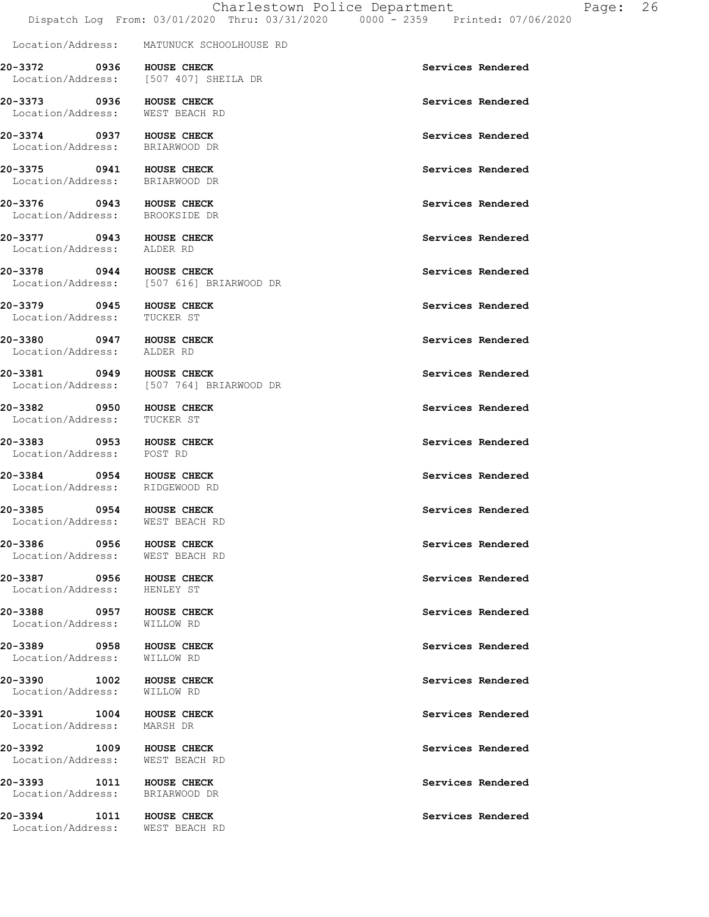Location/Address: MATUNUCK SCHOOLHOUSE RD

**20-3372 0936 HOUSE CHECK Services Rendered**  Location/Address: [507 407] SHEILA DR

**20-3373 0936 HOUSE CHECK Services Rendered** 

**20-3374 0937 HOUSE CHECK Services Rendered Services Rendered** Services Rendered **Services** Rendered Location/Address:

**20-3375** 0941 HOUSE CHECK **DEALL ASSESSED ASSESSED AT SERVICES Rendered** Location/Address: BRIARWOOD DR

Location/Address: BROOKSIDE DR

Location/Address: ALDER RD

**20-3379 0945 HOUSE CHECK Services Rendered**  Location/Address:

**20-3380 0947 HOUSE CHECK Services Rendered**  Location/Address:

**20-3381** 0949 HOUSE CHECK **Services Rendered** 

**20-3382 0950 HOUSE CHECK Services Rendered**  Location/Address:

**20-3383 0953 HOUSE CHECK Services Rendered**  Location/Address: POST RD

**20-3384 0954 HOUSE CHECK Services Rendered**  Location/Address: RIDGEWOOD RD

**20-3385** 0954 HOUSE CHECK **DEEP SERVICES** Services Rendered Location/Address: WEST BEACH RD

**20-3386** 0956 HOUSE CHECK **DEALL CHECK** Services Rendered Location/Address: WEST BEACH RD

**20-3387** 0956 HOUSE CHECK **DEALL CHECK** Services Rendered Location/Address: HENLEY ST

20-3388 0957 HOUSE CHECK **Services Rendered** Location/Address: WILLOW RD

**20-3389 0958 HOUSE CHECK Services Rendered**  Location/Address: WILLOW RD

**20-3390 1002 HOUSE CHECK Services Rendered**  Location/Address: WILLOW RD

**20-3391 1004 HOUSE CHECK Services Rendered** Location/Address: MARSH DR

20-3392 1009 HOUSE CHECK **1009 HOUSE CHECK** Services Rendered Location/Address: WEST BEACH RD

20-3393 1011 HOUSE CHECK **1988** Services Rendered Location/Address: BRIARWOOD DR

**20-3394 1011 HOUSE CHECK Services Rendered**  Location/Address: WEST BEACH RD

Location/Address: WEST BEACH RD

**20-3378 0944 HOUSE CHECK Services Rendered**  Location/Address: [507 616] BRIARWOOD DR

Location/Address: [507 764] BRIARWOOD DR

**20-3376 0943 HOUSE CHECK Services Rendered** 

**20-3377 6943 HOUSE CHECK Services Rendered**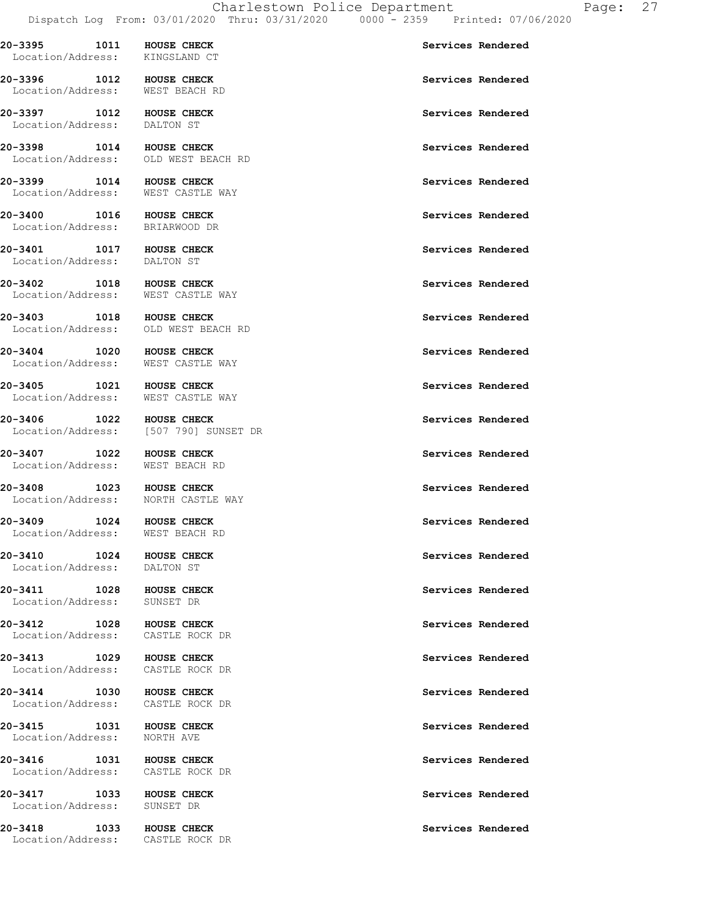**20-3395 1011 HOUSE CHECK Services Rendered** 

 Location/Address: KINGSLAND CT **20-3396 1012 HOUSE CHECK Services Rendered**  Location/Address: WEST BEACH RD

Location/Address: DALTON ST

Location/Address: OLD WEST BEACH RD

Location/Address: WEST CASTLE WAY

Location/Address: BRIARWOOD DR

**20-3401 1017 HOUSE CHECK Services Rendered Services Rendered** Services Rendered **Services** Rendered

Location/Address:

Location/Address:

Location/Address: WEST CASTLE WAY

Location/Address: OLD WEST BEACH RD

Location/Address: WEST CASTLE WAY

Location/Address: WEST CASTLE WAY

**20-3406 1022 HOUSE CHECK Services Rendered Services Rendered** Services Rendered **Services** Rendered [507 790] SUNSET DR

**20-3407 1022 HOUSE CHECK Services Rendered**  Location/Address: WEST BEACH RD

20-3408 1023 HOUSE CHECK **1008** 1023 HOUSE CHECK Location/Address: NORTH CASTLE WAY

Location/Address: WEST BEACH RD

Location/Address: DALTON ST

Location/Address: SUNSET DR

Location/Address: CASTLE ROCK DR

Location/Address: CASTLE ROCK DR

Location/Address: CASTLE ROCK DR

**20-3415 1031 HOUSE CHECK Services Rendered** Services Rendered **Services Rendered** 

Location/Address: CASTLE ROCK DR

Location/Address: SUNSET DR

Location/Address: CASTLE ROCK DR

**20-3397 1012 HOUSE CHECK Services Rendered 20-3398 1014 HOUSE CHECK Services Rendered** 

**20-3399 1014 HOUSE CHECK Services Rendered** 

**20-3400** 1016 HOUSE CHECK **1000 1000 1000 1000 1000 1000** Services Rendered

**20-3402 1018 HOUSE CHECK Services Rendered** 

20-3403 1018 HOUSE CHECK **1008** 1008 20-3403

20-3404 1020 HOUSE CHECK **1008** 1020 HOUSE CHECK

**20-3405 1021 HOUSE CHECK Services Rendered** 

20-3409 1024 HOUSE CHECK **Services Rendered** 

**20-3410 1024 HOUSE CHECK Services Rendered** 

**20-3411** 1028 HOUSE CHECK **1008 1028 HOUSE CHECK Services Rendered** 

**20-3412** 1028 HOUSE CHECK **1000** Services Rendered

20-3413 1029 HOUSE CHECK **1008** 1008 CHECK Services Rendered

**20-3414 1030 HOUSE CHECK Services Rendered** 

20-3416 1031 HOUSE CHECK **1008** 1008 CHECK Services Rendered

**20-3417** 1033 HOUSE CHECK **1008 1008** HOUSE CHECK **Services** Rendered

20-3418 1033 HOUSE CHECK **1008** 1003 HOUSE CHECK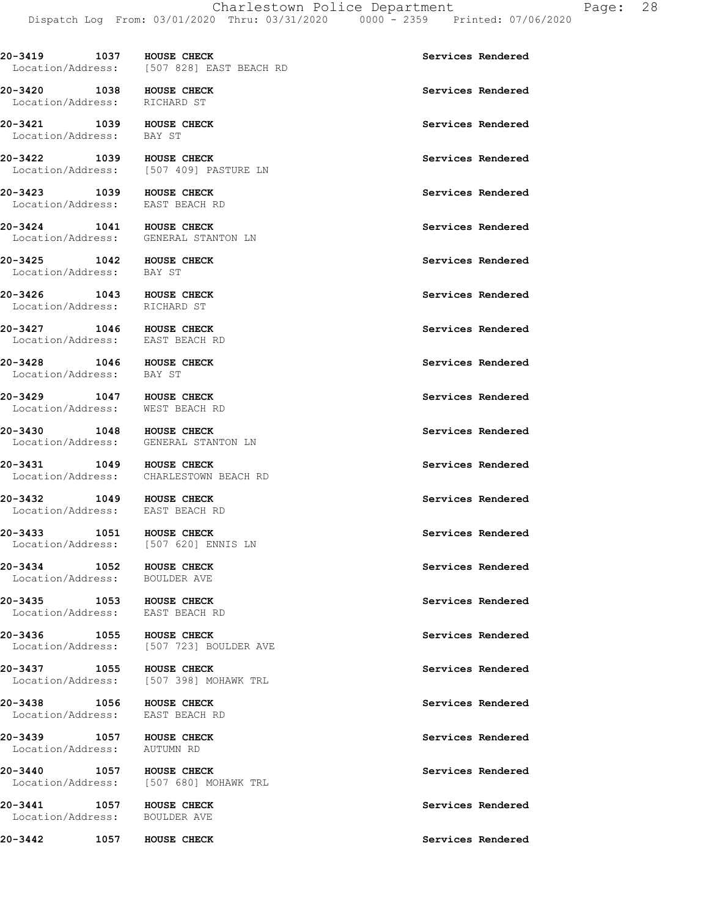20-3419 1037 HOUSE CHECK **Services Rendered**  Location/Address: [507 828] EAST BEACH RD **20-3420** 1038 HOUSE CHECK **1000 1000 1000 1000 1000 1000 1000** Services Rendered Location/Address: RICHARD ST **20-3421 1039 HOUSE CHECK Services Rendered**  Location/Address: BAY ST **20-3422 1039 HOUSE CHECK Services Rendered**  Location/Address: [507 409] PASTURE LN 20-3423 1039 HOUSE CHECK **1008 CHECK** Services Rendered Location/Address: EAST BEACH RD **20-3424** 1041 HOUSE CHECK Services Rendered Location/Address: GENERAL STANTON LN **20-3425 1042 HOUSE CHECK Services Rendered Services Rendered** Services Rendered **Services** Rendered Location/Address: **20-3426 1043 HOUSE CHECK Services Rendered Services Rendered** Services Rendered **Services** Rendered Location/Address: **20-3427 1046 HOUSE CHECK Services Rendered**  Location/Address: EAST BEACH RD **20-3428** 1046 HOUSE CHECK **1008** 1046 HOUSE CHECK Location/Address: BAY ST 20-3429 1047 HOUSE CHECK **Services Rendered**  Location/Address: WEST BEACH RD **20-3430** 1048 HOUSE CHECK **1008 1048** HOUSE CHECK Location/Address: GENERAL STANTON LN **20-3431 1049 HOUSE CHECK Services Rendered Exercise Services Rendered** Services Rendered **Services Rendered** Location/Address: **20-3432** 1049 HOUSE CHECK **100 100** HOUSE CHECK **Services** Rendered Location/Address: EAST BEACH RD **20-3433 1051 HOUSE CHECK Services Rendered**  Location/Address: [507 620] ENNIS LN **20-3434 1052 HOUSE CHECK Services Rendered Exercises Rendered Exercises Services Rendered** Location/Address: 20-3435 1053 HOUSE CHECK **1005 1005 CHECK** Services Rendered Location/Address: EAST BEACH RD **20-3436 1055 HOUSE CHECK Services Rendered**  Location/Address: [507 723] BOULDER AVE **20-3437 1055 HOUSE CHECK Services Rendered**  Location/Address: [507 398] MOHAWK TRL 20-3438 1056 HOUSE CHECK **Services Rendered** Location/Address: EAST BEACH RD

[507 680] MOHAWK TRL

**20-3439 1057 HOUSE CHECK Services Rendered**  Location/Address: AUTUMN RD

**20-3440 1057 HOUSE CHECK Services Rendered Services Rendered Services Rendered** 

**20-3441** 1057 HOUSE CHECK **1008** HOUSE CHECK Services Rendered Location/Address: BOULDER AVE

**20-3442 1057 HOUSE CHECK Services Rendered**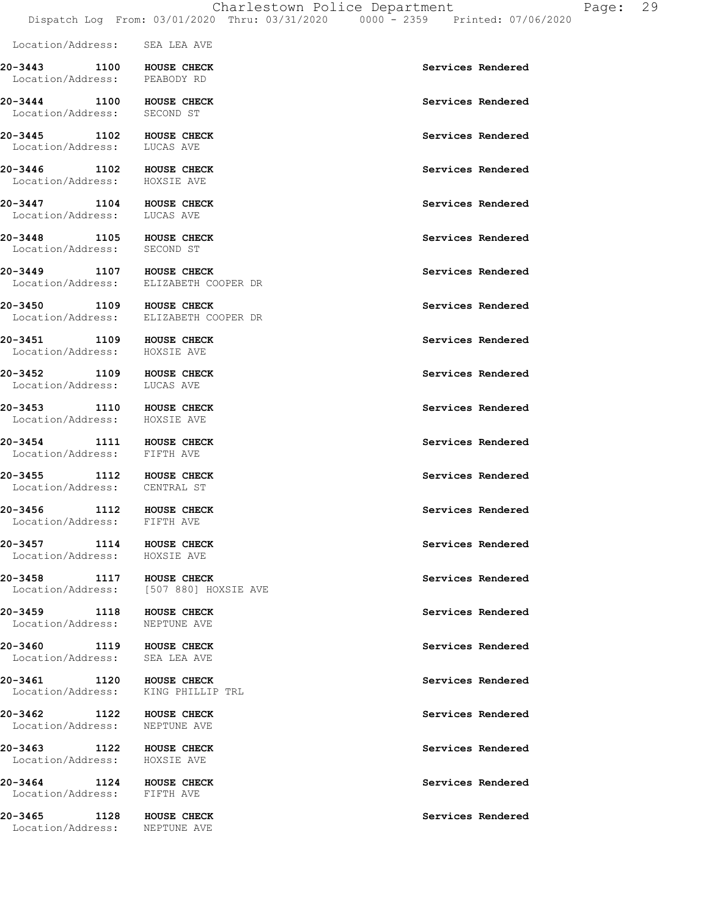|                                                                |                                        | CHALLOUGUNH LUILUC DOPALUMONO<br>Dispatch Log From: 03/01/2020 Thru: 03/31/2020 0000 - 2359 Printed: 07/06/2020 |                   |
|----------------------------------------------------------------|----------------------------------------|-----------------------------------------------------------------------------------------------------------------|-------------------|
| Location/Address: SEA LEA AVE                                  |                                        |                                                                                                                 |                   |
| 20-3443 1100 HOUSE CHECK<br>Location/Address: PEABODY RD       |                                        |                                                                                                                 | Services Rendered |
| 20-3444 1100 HOUSE CHECK<br>Location/Address: SECOND ST        |                                        |                                                                                                                 | Services Rendered |
| 20-3445 1102 HOUSE CHECK<br>Location/Address: LUCAS AVE        |                                        |                                                                                                                 | Services Rendered |
| 20-3446 1102 HOUSE CHECK<br>Location/Address: HOXSIE AVE       |                                        |                                                                                                                 | Services Rendered |
| 20-3447 1104 HOUSE CHECK<br>Location/Address: LUCAS AVE        |                                        |                                                                                                                 | Services Rendered |
| 20-3448 1105 HOUSE CHECK<br>Location/Address: SECOND ST        |                                        |                                                                                                                 | Services Rendered |
| 20-3449 1107 HOUSE CHECK                                       | Location/Address: ELIZABETH COOPER DR  |                                                                                                                 | Services Rendered |
| 20-3450 1109 HOUSE CHECK                                       | Location/Address: ELIZABETH COOPER DR  |                                                                                                                 | Services Rendered |
| 20-3451 1109 HOUSE CHECK<br>Location/Address: HOXSIE AVE       |                                        |                                                                                                                 | Services Rendered |
| 20-3452 1109 HOUSE CHECK<br>Location/Address: LUCAS AVE        |                                        |                                                                                                                 | Services Rendered |
| 20-3453<br>Location/Address: HOXSIE AVE                        | 1110 HOUSE CHECK                       |                                                                                                                 | Services Rendered |
| 20-3454 1111 HOUSE CHECK<br>Location/Address: FIFTH AVE        |                                        |                                                                                                                 | Services Rendered |
| 20-3455<br>Location/Address: CENTRAL ST                        | 1112 HOUSE CHECK                       |                                                                                                                 | Services Rendered |
| 20-3456 1112 HOUSE CHECK<br>Location/Address: FIFTH AVE        |                                        |                                                                                                                 | Services Rendered |
| 20-3457 1114 HOUSE CHECK<br>Location/Address: HOXSIE AVE       |                                        |                                                                                                                 | Services Rendered |
| 20-3458 1117 HOUSE CHECK                                       | Location/Address: [507 880] HOXSIE AVE |                                                                                                                 | Services Rendered |
| 20-3459 1118 HOUSE CHECK<br>Location/Address: NEPTUNE AVE      |                                        |                                                                                                                 | Services Rendered |
| 20-3460 1119 HOUSE CHECK<br>Location/Address: SEA LEA AVE      |                                        |                                                                                                                 | Services Rendered |
| 20-3461 1120 HOUSE CHECK<br>Location/Address: KING PHILLIP TRL |                                        |                                                                                                                 | Services Rendered |
| 20-3462 1122 HOUSE CHECK<br>Location/Address: NEPTUNE AVE      |                                        |                                                                                                                 | Services Rendered |
| 20-3463<br>Location/Address: HOXSIE AVE                        | 1122 HOUSE CHECK                       |                                                                                                                 | Services Rendered |
| 20-3464 1124 HOUSE CHECK<br>Location/Address: FIFTH AVE        |                                        |                                                                                                                 | Services Rendered |
| 20-3465<br>Location/Address: NEPTUNE AVE                       | 1128 HOUSE CHECK                       |                                                                                                                 | Services Rendered |
|                                                                |                                        |                                                                                                                 |                   |
|                                                                |                                        |                                                                                                                 |                   |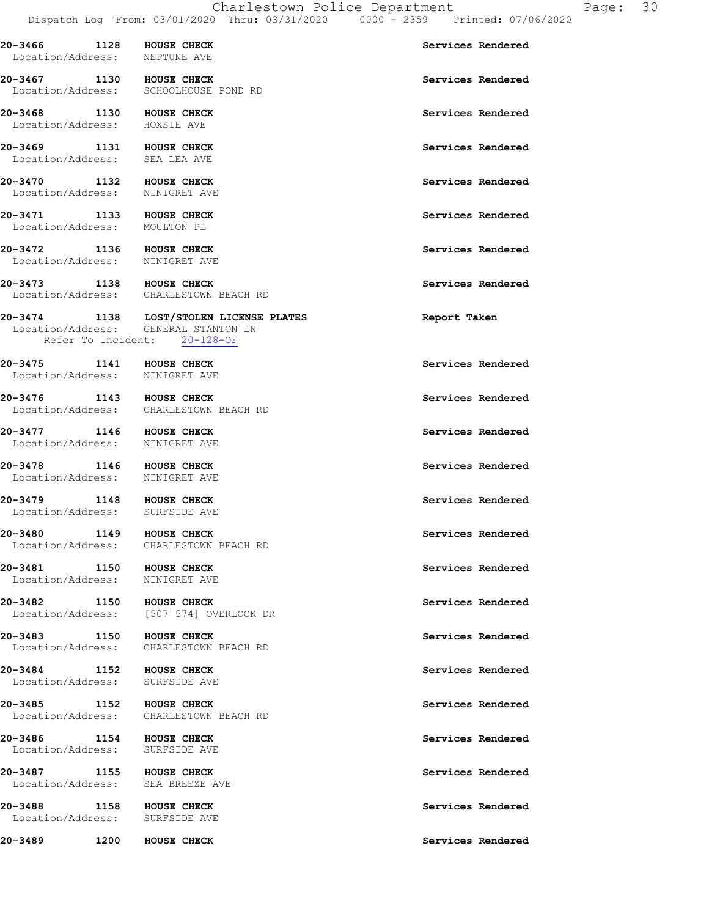Dispatch Log From: 03/01/2020 Thru: 03/31/2020 0000 - 2359 Printed: 07/06/2020 **20-3466 1128 HOUSE CHECK Services Rendered**  Location/Address: NEPTUNE AVE 20-3467 1130 HOUSE CHECK **Services Rendered**  Location/Address: SCHOOLHOUSE POND RD **20-3468 1130 HOUSE CHECK Services Rendered**  Location/Address: HOXSIE AVE 20-3469 1131 HOUSE CHECK **Services Rendered**  Location/Address: SEA LEA AVE **20-3470** 1132 HOUSE CHECK **1132 HOUSE CHECK** Services Rendered Location/Address: NINIGRET AVE **20-3471 1133 HOUSE CHECK Services Rendered**  Location/Address: MOULTON PL **20-3472 1136 HOUSE CHECK Services Rendered**  Location/Address: **20-3473 1138 HOUSE CHECK Services Rendered**  Location/Address: CHARLESTOWN BEACH RD **20-3474 1138 LOST/STOLEN LICENSE PLATES Report Taken**  Location/Address: GENERAL STANTON LN Refer To Incident: 20-128-OF **20-3475** 1141 HOUSE CHECK **1141** HOUSE CHECK **Services** Rendered Location/Address: NINIGRET AVE **20-3476 1143 HOUSE CHECK Services Rendered**  Location/Address: CHARLESTOWN BEACH RD **20-3477 1146 HOUSE CHECK Services Rendered**  Location/Address: NINIGRET AVE **20-3478 1146 HOUSE CHECK Services Rendered**  Location/Address: NINIGRET AVE 20-3479 1148 HOUSE CHECK **Services Rendered**  Location/Address: SURFSIDE AVE **20-3480** 1149 HOUSE CHECK **1149 HOUSE CHECK** Services Rendered Location/Address: CHARLESTOWN BEACH RD **20-3481 1150 HOUSE CHECK Services Rendered Exercise Rendered Exercises Rendered** Location/Address: **20-3482 1150 HOUSE CHECK Services Rendered Services Rendered Services Rendered** [507 574] OVERLOOK DR **20-3483 1150 HOUSE CHECK Services Rendered Exercise Services Rendered Services Rendered** CHARLESTOWN BEACH RD 20-3484 1152 HOUSE CHECK **1152 HOUSE CHECK** Services Rendered Location/Address: SURFSIDE AVE **20-3485 1152 HOUSE CHECK Services Rendered**  Location/Address: CHARLESTOWN BEACH RD **20-3486 1154 HOUSE CHECK 1154 HOUSE CHECK Services Rendered** Location/Address: **20-3487 1155 HOUSE CHECK Services Rendered**  Location/Address: SEA BREEZE AVE **20-3488 1158 HOUSE CHECK Services Rendered**  Location/Address: SURFSIDE AVE **20-3489 1200 HOUSE CHECK Services Rendered**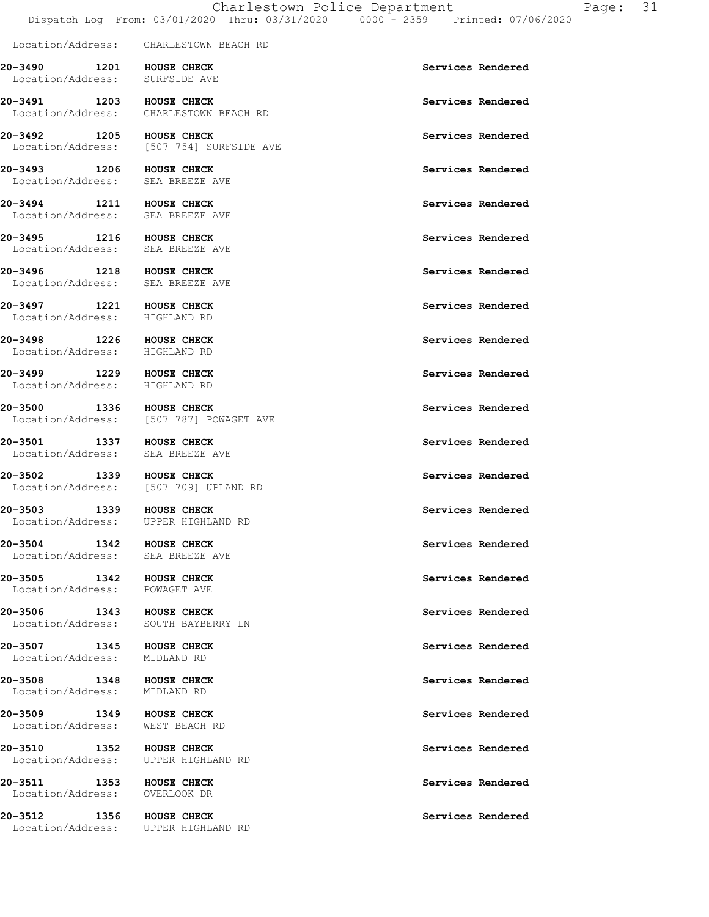Location/Address: CHARLESTOWN BEACH RD **20-3490 1201 HOUSE CHECK Services Rendered**  Location/Address: SURFSIDE AVE **20-3491 1203 HOUSE CHECK Services Rendered Services Rendered Services Rendered** CHARLESTOWN BEACH RD **20-3492 1205 HOUSE CHECK Services Rendered Services Rendered Services Rendered ICO** [507 754] SURFSIDE AVE **20-3493 1206 HOUSE CHECK Services Rendered**  Location/Address: SEA BREEZE AVE **20-3494 1211 HOUSE CHECK Services Rendered**  Location/Address: SEA BREEZE AVE **20-3495 1216 HOUSE CHECK Services Rendered**  Location/Address: SEA BREEZE AVE **20-3496 1218 HOUSE CHECK Services Rendered**  Location/Address: SEA BREEZE AVE **20-3497 1221 HOUSE CHECK Services Rendered Services Rendered** Services Rendered **Services** Rendered Location/Address: **20-3498 1226 HOUSE CHECK Services Rendered**  Location/Address: HIGHLAND RD **20-3499 1229 HOUSE CHECK Services Rendered**  Location/Address: HIGHLAND RD **20-3500 1336 HOUSE CHECK Services Rendered Services Rendered Services Rendered** [507 787] POWAGET AVE **20-3501 1337 HOUSE CHECK Services Rendered**  Location/Address: SEA BREEZE AVE **20-3502 1339 HOUSE CHECK 1339 HOUSE CHECK** Services Rendered **Services Rendered** Location/Address: **20-3503 1339 HOUSE CHECK Services Rendered**  Location/Address: UPPER HIGHLAND RD **20-3504 1342 HOUSE CHECK Services Rendered**  Location/Address: SEA BREEZE AVE **20-3505 1342 HOUSE CHECK Services Rendered**  Location/Address: POWAGET AVE **20-3506 1343 HOUSE CHECK Services Rendered**  Location/Address: SOUTH BAYBERRY LN **20-3507 1345 HOUSE CHECK Services Rendered**  Location/Address: MIDLAND RD **20-3508 1348 HOUSE CHECK Services Rendered**  Location/Address: MIDLAND RD **20-3509 1349 HOUSE CHECK Services Rendered**  Location/Address: WEST BEACH RD 20-3510 1352 HOUSE CHECK **Services Rendered**  Location/Address: UPPER HIGHLAND RD 20-3511 1353 HOUSE CHECK **Services Rendered**  Location/Address: OVERLOOK DR **20-3512 1356 HOUSE CHECK Services Rendered**  Location/Address: UPPER HIGHLAND RD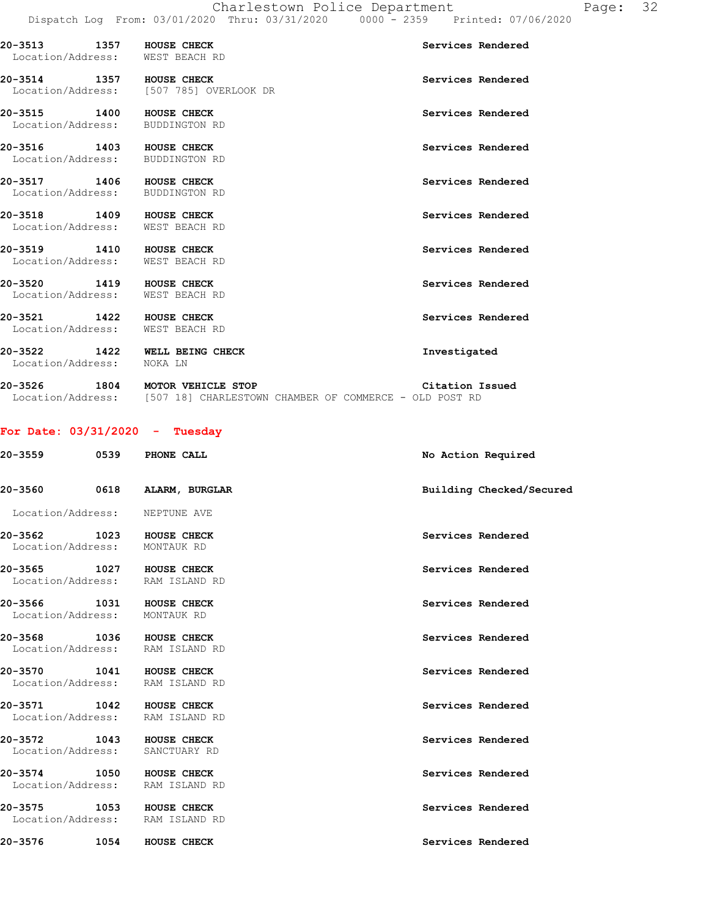| 20-3513 1357 HOUSE CHECK<br>Location/Address: WEST BEACH RD |                                         | Services Rendered |
|-------------------------------------------------------------|-----------------------------------------|-------------------|
| 20-3514 1357 HOUSE CHECK                                    | Location/Address: [507 785] OVERLOOK DR | Services Rendered |
| 20-3515 1400 HOUSE CHECK<br>Location/Address: BUDDINGTON RD |                                         | Services Rendered |
| 20-3516 1403 HOUSE CHECK<br>Location/Address: BUDDINGTON RD |                                         | Services Rendered |
| 20-3517 1406 HOUSE CHECK<br>Location/Address: BUDDINGTON RD |                                         | Services Rendered |
| 20-3518 1409 HOUSE CHECK<br>Location/Address: WEST BEACH RD |                                         | Services Rendered |
| 20-3519 1410 HOUSE CHECK<br>Location/Address: WEST BEACH RD |                                         | Services Rendered |
| 20-3520 1419 HOUSE CHECK<br>Location/Address: WEST BEACH RD |                                         | Services Rendered |
| 20-3521 1422 HOUSE CHECK<br>Location/Address: WEST BEACH RD |                                         | Services Rendered |
| 20-3522 1422 WELL BEING CHECK<br>Location/Address: NOKA LN  |                                         | Investigated      |

| 20-3526           | 1804 |  | MOTOR VEHICLE STOP                                     |  |  |  | Citation Issued |
|-------------------|------|--|--------------------------------------------------------|--|--|--|-----------------|
| Location/Address: |      |  | [507 18] CHARLESTOWN CHAMBER OF COMMERCE - OLD POST RD |  |  |  |                 |

### **For Date: 03/31/2020 - Tuesday**

| 20-3559 0539 PHONE CALL      |                                                             | No Action Required       |
|------------------------------|-------------------------------------------------------------|--------------------------|
| 20-3560 0618                 | ALARM, BURGLAR                                              | Building Checked/Secured |
|                              | Location/Address: NEPTUNE AVE                               |                          |
| Location/Address: MONTAUK RD | 20-3562 1023 HOUSE CHECK                                    | Services Rendered        |
|                              | 20-3565 1027 HOUSE CHECK<br>Location/Address: RAM ISLAND RD | Services Rendered        |
| Location/Address: MONTAUK RD | 20-3566 1031 HOUSE CHECK                                    | Services Rendered        |
|                              | 20-3568 1036 HOUSE CHECK<br>Location/Address: RAM ISLAND RD | Services Rendered        |
|                              | 20-3570 1041 HOUSE CHECK<br>Location/Address: RAM ISLAND RD | Services Rendered        |
|                              | 20-3571 1042 HOUSE CHECK<br>Location/Address: RAM ISLAND RD | Services Rendered        |
|                              | 20-3572 1043 HOUSE CHECK<br>Location/Address: SANCTUARY RD  | Services Rendered        |
|                              | 20-3574 1050 HOUSE CHECK<br>Location/Address: RAM ISLAND RD | Services Rendered        |
|                              | 20-3575 1053 HOUSE CHECK<br>Location/Address: RAM ISLAND RD | Services Rendered        |
|                              | 20-3576 1054 HOUSE CHECK                                    | Services Rendered        |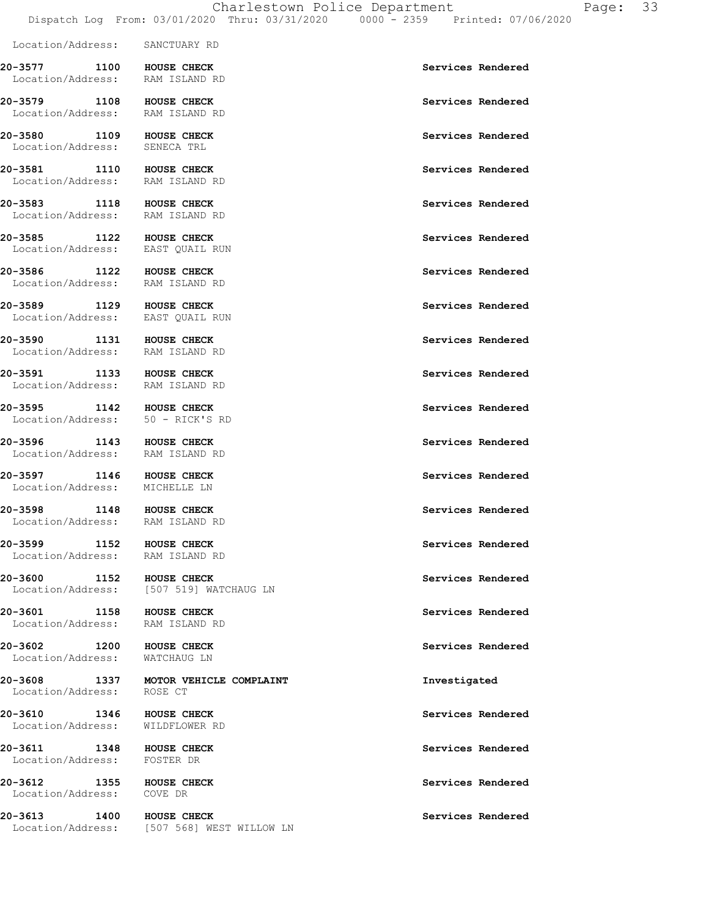Location/Address: SANCTUARY RD

**20-3577 1100 HOUSE CHECK Services Rendered**  Location/Address: RAM ISLAND RD **20-3579 1108 HOUSE CHECK Services Rendered**  Location/Address: RAM ISLAND RD **20-3580 1109 HOUSE CHECK Services Rendered Exercise Services Rendered** Services Rendered **Services** Rendered Location/Address: **20-3581** 1110 HOUSE CHECK **1110** HOUSE CHECK **Services** Rendered Location/Address: RAM ISLAND RD **20-3583 1118 HOUSE CHECK Services Rendered**  Location/Address: RAM ISLAND RD 20-3585 1122 HOUSE CHECK **Services Rendered**  Location/Address: EAST QUAIL RUN 20-3586 1122 HOUSE CHECK **1128 HOUSE CHECK** Services Rendered Location/Address: RAM ISLAND RD **20-3589 1129 HOUSE CHECK Services Rendered Exercises Rendered Exercises Services Rendered** Location/Address: 20-3590 1131 HOUSE CHECK **Services Rendered**  Location/Address: RAM ISLAND RD **20-3591 1133 HOUSE CHECK Services Rendered**  Location/Address: RAM ISLAND RD **20-3595 1142 HOUSE CHECK Services Rendered**  Location/Address: 50 - RICK'S RD 20-3596 1143 HOUSE CHECK **Services Rendered**  Location/Address: RAM ISLAND RD **20-3597 1146 HOUSE CHECK Services Rendered Services Rendered** Services Rendered **Services** Rendered Location/Address: **20-3598 1148 HOUSE CHECK Services Rendered**  Location/Address: RAM ISLAND RD 20-3599 1152 HOUSE CHECK **Services Rendered**  Location/Address: RAM ISLAND RD **20-3600** 1152 HOUSE CHECK **1152 HOUSE CHECK** Services Rendered Location/Address: [507 519] WATCHAUG LN 20-3601 1158 HOUSE CHECK **Services Rendered**  Location/Address: RAM ISLAND RD **20-3602 1200 HOUSE CHECK Services Rendered**  Location/Address: WATCHAUG LN **20-3608 1337 MOTOR VEHICLE COMPLAINT Investigated**  Location/Address: ROSE CT **20-3610** 1346 HOUSE CHECK **120-3610** Services Rendered Location/Address: WILDFLOWER RD **20-3611** 1348 HOUSE CHECK **1348** HOUSE CHECK **Services** Rendered Location/Address: FOSTER DR 20-3612 1355 HOUSE CHECK **Services Rendered**  Location/Address: COVE DR **20-3613 1400 HOUSE CHECK Services Rendered**  Location/Address: [507 568] WEST WILLOW LN